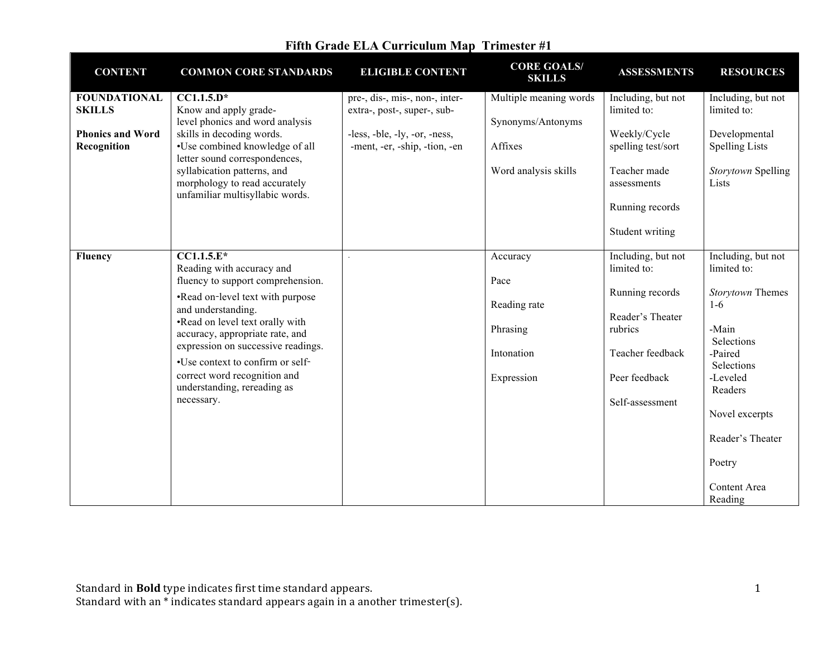| <b>CONTENT</b>                                                                 | <b>COMMON CORE STANDARDS</b>                                                                                                                                                                                                                                                                                                                                          | <b>ELIGIBLE CONTENT</b>                                                                                                         | <b>CORE GOALS/</b><br><b>SKILLS</b>                                            | <b>ASSESSMENTS</b>                                                                                                                           | <b>RESOURCES</b>                                                                                                                                                                                                 |
|--------------------------------------------------------------------------------|-----------------------------------------------------------------------------------------------------------------------------------------------------------------------------------------------------------------------------------------------------------------------------------------------------------------------------------------------------------------------|---------------------------------------------------------------------------------------------------------------------------------|--------------------------------------------------------------------------------|----------------------------------------------------------------------------------------------------------------------------------------------|------------------------------------------------------------------------------------------------------------------------------------------------------------------------------------------------------------------|
| <b>FOUNDATIONAL</b><br><b>SKILLS</b><br><b>Phonics and Word</b><br>Recognition | $CC1.1.5.D*$<br>Know and apply grade-<br>level phonics and word analysis<br>skills in decoding words.<br>•Use combined knowledge of all<br>letter sound correspondences,<br>syllabication patterns, and<br>morphology to read accurately<br>unfamiliar multisyllabic words.                                                                                           | pre-, dis-, mis-, non-, inter-<br>extra-, post-, super-, sub-<br>-less, -ble, -ly, -or, -ness,<br>-ment, -er, -ship, -tion, -en | Multiple meaning words<br>Synonyms/Antonyms<br>Affixes<br>Word analysis skills | Including, but not<br>limited to:<br>Weekly/Cycle<br>spelling test/sort<br>Teacher made<br>assessments<br>Running records<br>Student writing | Including, but not<br>limited to:<br>Developmental<br><b>Spelling Lists</b><br>Storytown Spelling<br>Lists                                                                                                       |
| <b>Fluency</b>                                                                 | $CCI.1.5.E*$<br>Reading with accuracy and<br>fluency to support comprehension.<br>•Read on-level text with purpose<br>and understanding.<br>.Read on level text orally with<br>accuracy, appropriate rate, and<br>expression on successive readings.<br>•Use context to confirm or self-<br>correct word recognition and<br>understanding, rereading as<br>necessary. |                                                                                                                                 | Accuracy<br>Pace<br>Reading rate<br>Phrasing<br>Intonation<br>Expression       | Including, but not<br>limited to:<br>Running records<br>Reader's Theater<br>rubrics<br>Teacher feedback<br>Peer feedback<br>Self-assessment  | Including, but not<br>limited to:<br>Storytown Themes<br>$1-6$<br>-Main<br>Selections<br>-Paired<br>Selections<br>-Leveled<br>Readers<br>Novel excerpts<br>Reader's Theater<br>Poetry<br>Content Area<br>Reading |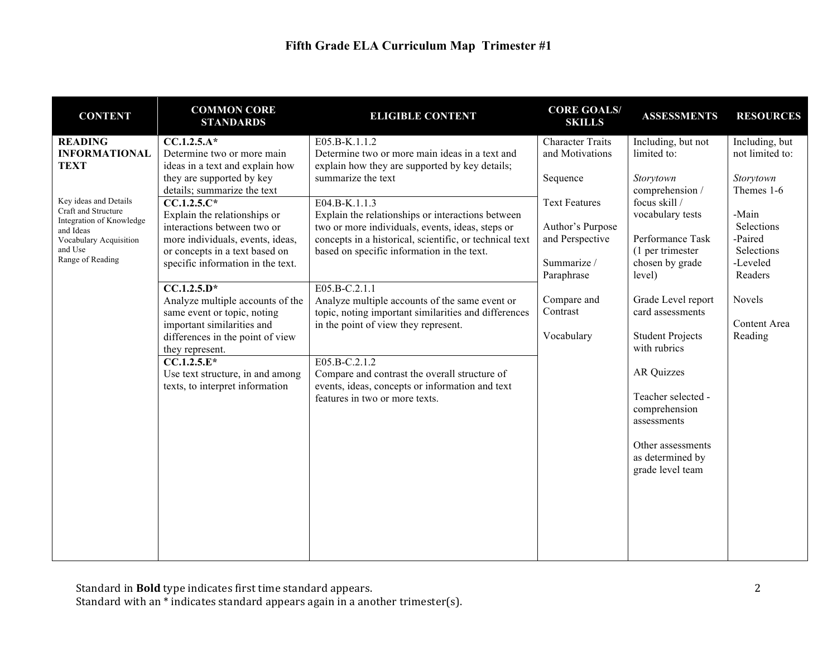| <b>CONTENT</b>                                                                        | <b>COMMON CORE</b><br><b>STANDARDS</b>                                                      | <b>ELIGIBLE CONTENT</b>                                                                                                | <b>CORE GOALS/</b><br><b>SKILLS</b>        | <b>ASSESSMENTS</b>                                        | <b>RESOURCES</b>                  |
|---------------------------------------------------------------------------------------|---------------------------------------------------------------------------------------------|------------------------------------------------------------------------------------------------------------------------|--------------------------------------------|-----------------------------------------------------------|-----------------------------------|
| <b>READING</b><br><b>INFORMATIONAL</b>                                                | $CC.1.2.5.A*$<br>Determine two or more main                                                 | E05.B-K.1.1.2<br>Determine two or more main ideas in a text and                                                        | <b>Character Traits</b><br>and Motivations | Including, but not<br>limited to:                         | Including, but<br>not limited to: |
| <b>TEXT</b>                                                                           | ideas in a text and explain how<br>they are supported by key<br>details; summarize the text | explain how they are supported by key details;<br>summarize the text                                                   | Sequence                                   | Storytown<br>comprehension /                              | Storytown<br>Themes 1-6           |
| Key ideas and Details<br>Craft and Structure<br>Integration of Knowledge<br>and Ideas | $CC.1.2.5.C*$<br>Explain the relationships or<br>interactions between two or                | E04.B-K.1.1.3<br>Explain the relationships or interactions between<br>two or more individuals, events, ideas, steps or | <b>Text Features</b><br>Author's Purpose   | focus skill /<br>vocabulary tests                         | -Main<br>Selections               |
| Vocabulary Acquisition<br>and Use<br>Range of Reading                                 | more individuals, events, ideas,<br>or concepts in a text based on                          | concepts in a historical, scientific, or technical text<br>based on specific information in the text.                  | and Perspective                            | Performance Task<br>(1 per trimester                      | -Paired<br>Selections             |
|                                                                                       | specific information in the text.<br>$CC.1.2.5.D*$                                          | E05.B-C.2.1.1                                                                                                          | Summarize /<br>Paraphrase                  | chosen by grade<br>level)                                 | -Leveled<br>Readers               |
|                                                                                       | Analyze multiple accounts of the<br>same event or topic, noting                             | Analyze multiple accounts of the same event or<br>topic, noting important similarities and differences                 | Compare and<br>Contrast                    | Grade Level report<br>card assessments                    | Novels                            |
|                                                                                       | important similarities and<br>differences in the point of view<br>they represent.           | in the point of view they represent.                                                                                   | Vocabulary                                 | <b>Student Projects</b><br>with rubrics                   | Content Area<br>Reading           |
|                                                                                       | $CC.1.2.5.E*$<br>Use text structure, in and among<br>texts, to interpret information        | E05.B-C.2.1.2<br>Compare and contrast the overall structure of<br>events, ideas, concepts or information and text      |                                            | <b>AR Quizzes</b>                                         |                                   |
|                                                                                       |                                                                                             | features in two or more texts.                                                                                         |                                            | Teacher selected -<br>comprehension<br>assessments        |                                   |
|                                                                                       |                                                                                             |                                                                                                                        |                                            | Other assessments<br>as determined by<br>grade level team |                                   |
|                                                                                       |                                                                                             |                                                                                                                        |                                            |                                                           |                                   |
|                                                                                       |                                                                                             |                                                                                                                        |                                            |                                                           |                                   |
|                                                                                       |                                                                                             |                                                                                                                        |                                            |                                                           |                                   |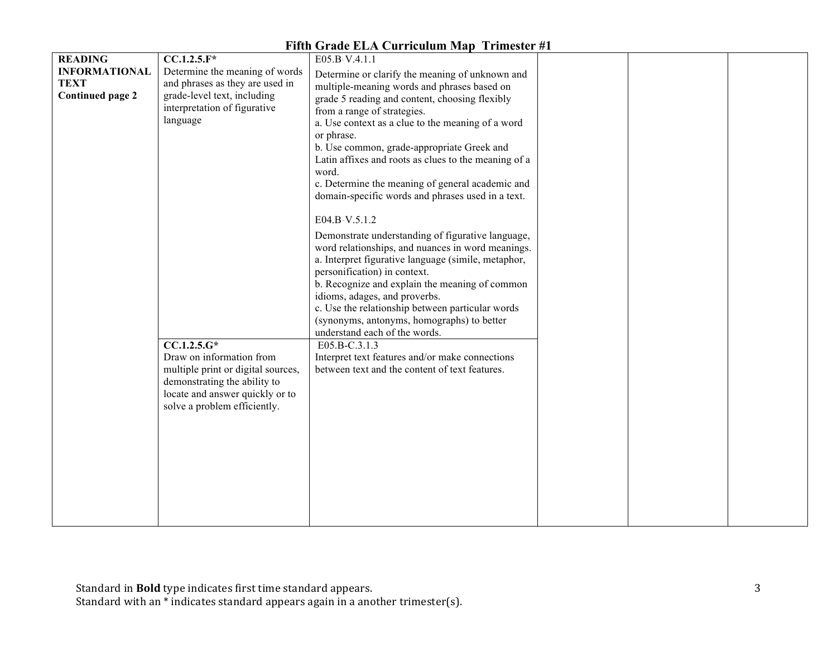| <b>READING</b>          | $CC.1.2.5.F*$                      | E05.B-V.4.1.1                                        |  |  |
|-------------------------|------------------------------------|------------------------------------------------------|--|--|
| <b>INFORMATIONAL</b>    | Determine the meaning of words     | Determine or clarify the meaning of unknown and      |  |  |
| <b>TEXT</b>             | and phrases as they are used in    | multiple-meaning words and phrases based on          |  |  |
| <b>Continued page 2</b> | grade-level text, including        | grade 5 reading and content, choosing flexibly       |  |  |
|                         | interpretation of figurative       | from a range of strategies.                          |  |  |
|                         | language                           | a. Use context as a clue to the meaning of a word    |  |  |
|                         |                                    | or phrase.                                           |  |  |
|                         |                                    | b. Use common, grade-appropriate Greek and           |  |  |
|                         |                                    | Latin affixes and roots as clues to the meaning of a |  |  |
|                         |                                    | word.                                                |  |  |
|                         |                                    | c. Determine the meaning of general academic and     |  |  |
|                         |                                    | domain-specific words and phrases used in a text.    |  |  |
|                         |                                    |                                                      |  |  |
|                         |                                    | E04.B-V.5.1.2                                        |  |  |
|                         |                                    | Demonstrate understanding of figurative language,    |  |  |
|                         |                                    | word relationships, and nuances in word meanings.    |  |  |
|                         |                                    | a. Interpret figurative language (simile, metaphor,  |  |  |
|                         |                                    | personification) in context.                         |  |  |
|                         |                                    | b. Recognize and explain the meaning of common       |  |  |
|                         |                                    | idioms, adages, and proverbs.                        |  |  |
|                         |                                    | c. Use the relationship between particular words     |  |  |
|                         |                                    | (synonyms, antonyms, homographs) to better           |  |  |
|                         |                                    | understand each of the words.                        |  |  |
|                         | $\overline{CC.1.2.5.G*}$           | E05.B-C.3.1.3                                        |  |  |
|                         | Draw on information from           | Interpret text features and/or make connections      |  |  |
|                         | multiple print or digital sources, | between text and the content of text features.       |  |  |
|                         | demonstrating the ability to       |                                                      |  |  |
|                         | locate and answer quickly or to    |                                                      |  |  |
|                         | solve a problem efficiently.       |                                                      |  |  |
|                         |                                    |                                                      |  |  |
|                         |                                    |                                                      |  |  |
|                         |                                    |                                                      |  |  |
|                         |                                    |                                                      |  |  |
|                         |                                    |                                                      |  |  |
|                         |                                    |                                                      |  |  |
|                         |                                    |                                                      |  |  |
|                         |                                    |                                                      |  |  |
|                         |                                    |                                                      |  |  |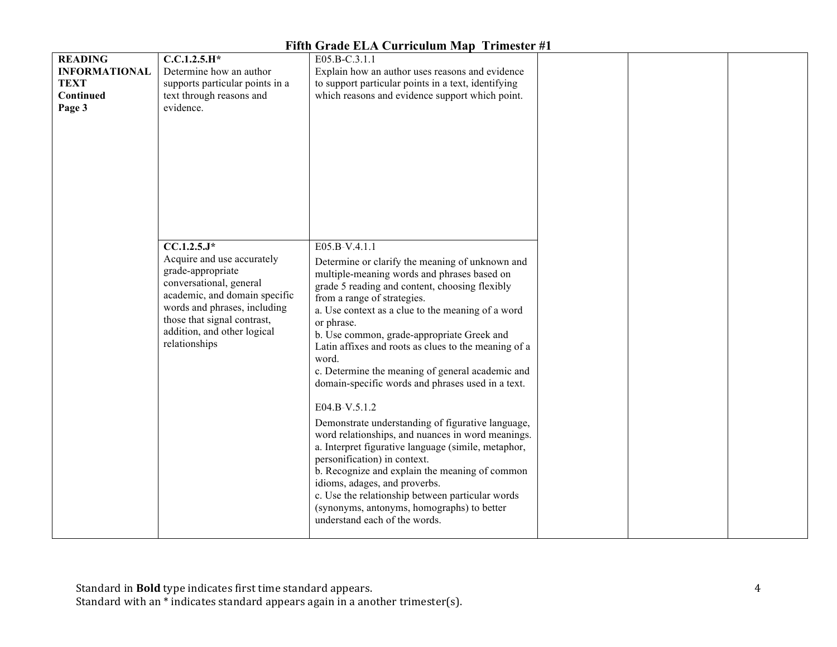| <b>READING</b>       | $C.C.1.2.5.H*$                  | E05.B-C.3.1.1                                        |  |
|----------------------|---------------------------------|------------------------------------------------------|--|
| <b>INFORMATIONAL</b> | Determine how an author         | Explain how an author uses reasons and evidence      |  |
| <b>TEXT</b>          | supports particular points in a | to support particular points in a text, identifying  |  |
| Continued            | text through reasons and        | which reasons and evidence support which point.      |  |
| Page 3               | evidence.                       |                                                      |  |
|                      |                                 |                                                      |  |
|                      |                                 |                                                      |  |
|                      |                                 |                                                      |  |
|                      |                                 |                                                      |  |
|                      |                                 |                                                      |  |
|                      |                                 |                                                      |  |
|                      |                                 |                                                      |  |
|                      |                                 |                                                      |  |
|                      |                                 |                                                      |  |
|                      |                                 |                                                      |  |
|                      |                                 |                                                      |  |
|                      | $CC.1.2.5.J*$                   | E05.B-V.4.1.1                                        |  |
|                      | Acquire and use accurately      | Determine or clarify the meaning of unknown and      |  |
|                      | grade-appropriate               |                                                      |  |
|                      | conversational, general         | multiple-meaning words and phrases based on          |  |
|                      | academic, and domain specific   | grade 5 reading and content, choosing flexibly       |  |
|                      | words and phrases, including    | from a range of strategies.                          |  |
|                      | those that signal contrast,     | a. Use context as a clue to the meaning of a word    |  |
|                      |                                 | or phrase.                                           |  |
|                      | addition, and other logical     | b. Use common, grade-appropriate Greek and           |  |
|                      | relationships                   | Latin affixes and roots as clues to the meaning of a |  |
|                      |                                 | word.                                                |  |
|                      |                                 | c. Determine the meaning of general academic and     |  |
|                      |                                 | domain-specific words and phrases used in a text.    |  |
|                      |                                 |                                                      |  |
|                      |                                 | E04.B-V.5.1.2                                        |  |
|                      |                                 | Demonstrate understanding of figurative language,    |  |
|                      |                                 | word relationships, and nuances in word meanings.    |  |
|                      |                                 | a. Interpret figurative language (simile, metaphor,  |  |
|                      |                                 | personification) in context.                         |  |
|                      |                                 | b. Recognize and explain the meaning of common       |  |
|                      |                                 | idioms, adages, and proverbs.                        |  |
|                      |                                 | c. Use the relationship between particular words     |  |
|                      |                                 |                                                      |  |
|                      |                                 | (synonyms, antonyms, homographs) to better           |  |
|                      |                                 | understand each of the words.                        |  |
|                      |                                 |                                                      |  |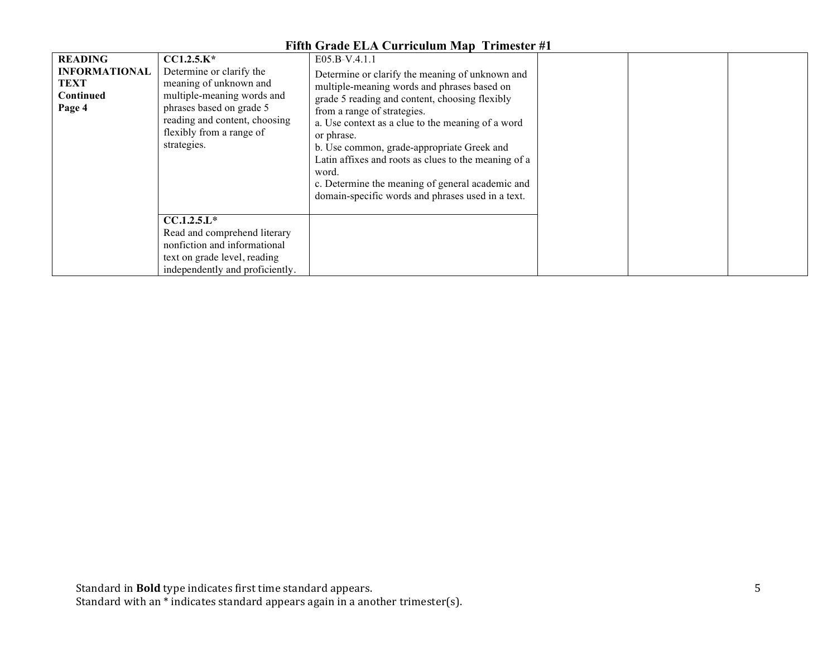|                                                                              |                                                                                                                                                                                                          | тий эгаас шит сагнсагаш мар тгинсжи лт                                                                                                                                                                                                                                                                                                                                                                                                                                                      |  |  |
|------------------------------------------------------------------------------|----------------------------------------------------------------------------------------------------------------------------------------------------------------------------------------------------------|---------------------------------------------------------------------------------------------------------------------------------------------------------------------------------------------------------------------------------------------------------------------------------------------------------------------------------------------------------------------------------------------------------------------------------------------------------------------------------------------|--|--|
| <b>READING</b><br><b>INFORMATIONAL</b><br><b>TEXT</b><br>Continued<br>Page 4 | $CCI.2.5.K*$<br>Determine or clarify the<br>meaning of unknown and<br>multiple-meaning words and<br>phrases based on grade 5<br>reading and content, choosing<br>flexibly from a range of<br>strategies. | E05.B-V.4.1.1<br>Determine or clarify the meaning of unknown and<br>multiple-meaning words and phrases based on<br>grade 5 reading and content, choosing flexibly<br>from a range of strategies.<br>a. Use context as a clue to the meaning of a word<br>or phrase.<br>b. Use common, grade-appropriate Greek and<br>Latin affixes and roots as clues to the meaning of a<br>word.<br>c. Determine the meaning of general academic and<br>domain-specific words and phrases used in a text. |  |  |
|                                                                              | $CCA.2.5.L*$<br>Read and comprehend literary<br>nonfiction and informational<br>text on grade level, reading<br>independently and proficiently.                                                          |                                                                                                                                                                                                                                                                                                                                                                                                                                                                                             |  |  |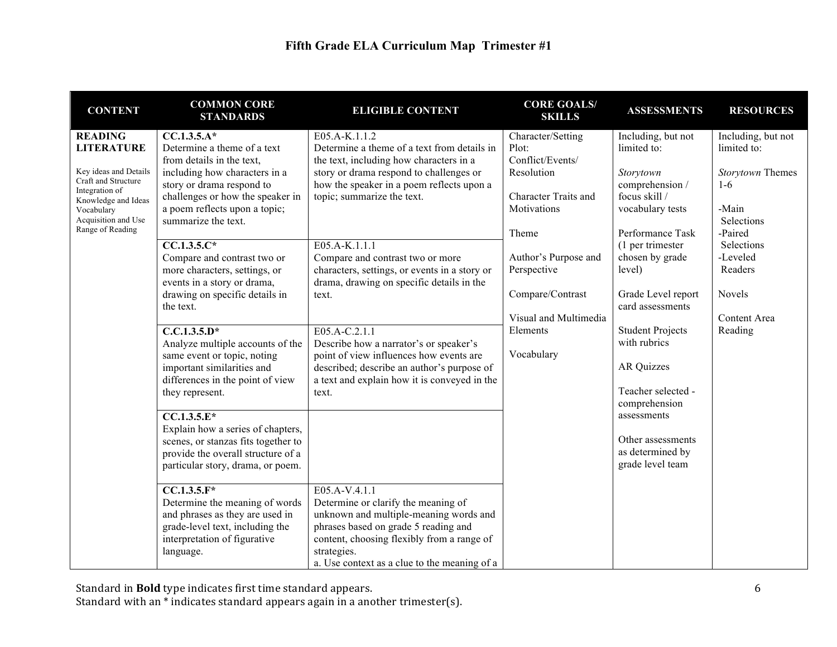| <b>CONTENT</b>                               | <b>COMMON CORE</b><br><b>STANDARDS</b>                            | <b>ELIGIBLE CONTENT</b>                                                       | <b>CORE GOALS/</b><br><b>SKILLS</b> | <b>ASSESSMENTS</b>                     | <b>RESOURCES</b>   |
|----------------------------------------------|-------------------------------------------------------------------|-------------------------------------------------------------------------------|-------------------------------------|----------------------------------------|--------------------|
| <b>READING</b>                               | $CC.1.3.5.A*$                                                     | E05.A-K.1.1.2                                                                 | Character/Setting                   | Including, but not                     | Including, but not |
| <b>LITERATURE</b>                            | Determine a theme of a text                                       | Determine a theme of a text from details in                                   | Plot:                               | limited to:                            | limited to:        |
|                                              | from details in the text,                                         | the text, including how characters in a                                       | Conflict/Events/                    |                                        |                    |
| Key ideas and Details<br>Craft and Structure | including how characters in a                                     | story or drama respond to challenges or                                       | Resolution                          | Storytown                              | Storytown Themes   |
| Integration of                               | story or drama respond to<br>challenges or how the speaker in     | how the speaker in a poem reflects upon a<br>topic; summarize the text.       | <b>Character Traits and</b>         | comprehension /<br>focus skill /       | $1-6$              |
| Knowledge and Ideas<br>Vocabulary            | a poem reflects upon a topic;                                     |                                                                               | Motivations                         | vocabulary tests                       | -Main              |
| Acquisition and Use                          | summarize the text.                                               |                                                                               |                                     |                                        | Selections         |
| Range of Reading                             |                                                                   |                                                                               | Theme                               | Performance Task                       | -Paired            |
|                                              | $CC.1.3.5.C*$                                                     | E05.A-K.1.1.1                                                                 |                                     | (1 per trimester                       | Selections         |
|                                              | Compare and contrast two or                                       | Compare and contrast two or more                                              | Author's Purpose and                | chosen by grade                        | -Leveled           |
|                                              | more characters, settings, or                                     | characters, settings, or events in a story or                                 | Perspective                         | level)                                 | Readers            |
|                                              | events in a story or drama,                                       | drama, drawing on specific details in the                                     |                                     |                                        |                    |
|                                              | drawing on specific details in<br>the text.                       | text.                                                                         | Compare/Contrast                    | Grade Level report<br>card assessments | Novels             |
|                                              |                                                                   |                                                                               | Visual and Multimedia               |                                        | Content Area       |
|                                              | $C.C.1.3.5.D*$                                                    | E05.A-C.2.1.1                                                                 | Elements                            | <b>Student Projects</b>                | Reading            |
|                                              | Analyze multiple accounts of the                                  | Describe how a narrator's or speaker's                                        |                                     | with rubrics                           |                    |
|                                              | same event or topic, noting                                       | point of view influences how events are                                       | Vocabulary                          |                                        |                    |
|                                              | important similarities and                                        | described; describe an author's purpose of                                    |                                     | AR Quizzes                             |                    |
|                                              | differences in the point of view                                  | a text and explain how it is conveyed in the                                  |                                     |                                        |                    |
|                                              | they represent.                                                   | text.                                                                         |                                     | Teacher selected -<br>comprehension    |                    |
|                                              | $\overline{CC.1.3.5.E^*}$                                         |                                                                               |                                     | assessments                            |                    |
|                                              | Explain how a series of chapters,                                 |                                                                               |                                     |                                        |                    |
|                                              | scenes, or stanzas fits together to                               |                                                                               |                                     | Other assessments                      |                    |
|                                              | provide the overall structure of a                                |                                                                               |                                     | as determined by                       |                    |
|                                              | particular story, drama, or poem.                                 |                                                                               |                                     | grade level team                       |                    |
|                                              |                                                                   |                                                                               |                                     |                                        |                    |
|                                              | $\overline{CC.1.3.5.F^*}$                                         | E05.A-V.4.1.1                                                                 |                                     |                                        |                    |
|                                              | Determine the meaning of words<br>and phrases as they are used in | Determine or clarify the meaning of<br>unknown and multiple-meaning words and |                                     |                                        |                    |
|                                              | grade-level text, including the                                   | phrases based on grade 5 reading and                                          |                                     |                                        |                    |
|                                              | interpretation of figurative                                      | content, choosing flexibly from a range of                                    |                                     |                                        |                    |
|                                              | language.                                                         | strategies.                                                                   |                                     |                                        |                    |
|                                              |                                                                   | a. Use context as a clue to the meaning of a                                  |                                     |                                        |                    |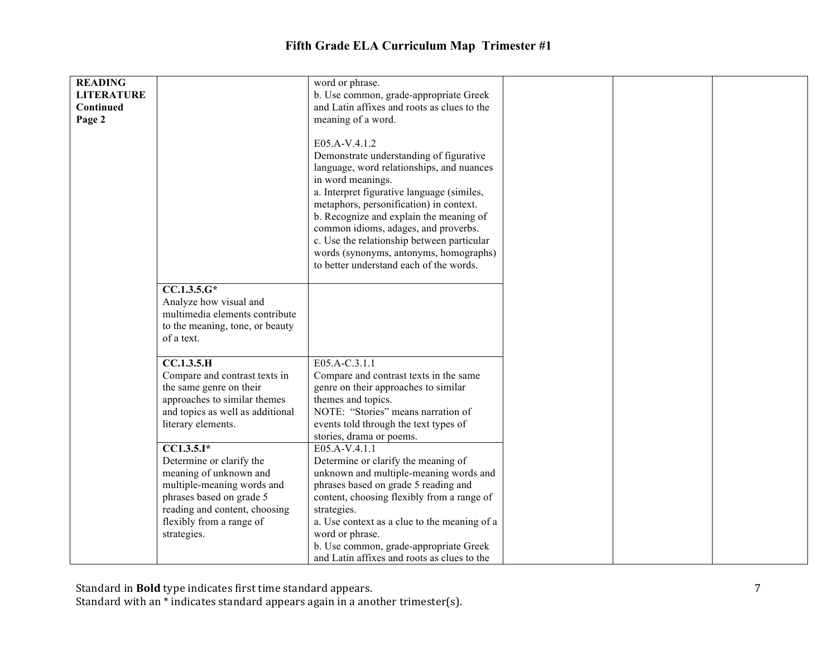| <b>READING</b><br><b>LITERATURE</b><br>Continued<br>Page 2 |                                                                                                                                                                                                                                                                                                                    | word or phrase.<br>b. Use common, grade-appropriate Greek<br>and Latin affixes and roots as clues to the<br>meaning of a word.                                                                                                                                                                                                                                                                                                            |
|------------------------------------------------------------|--------------------------------------------------------------------------------------------------------------------------------------------------------------------------------------------------------------------------------------------------------------------------------------------------------------------|-------------------------------------------------------------------------------------------------------------------------------------------------------------------------------------------------------------------------------------------------------------------------------------------------------------------------------------------------------------------------------------------------------------------------------------------|
|                                                            |                                                                                                                                                                                                                                                                                                                    | E05.A-V.4.1.2<br>Demonstrate understanding of figurative<br>language, word relationships, and nuances<br>in word meanings.<br>a. Interpret figurative language (similes,<br>metaphors, personification) in context.<br>b. Recognize and explain the meaning of<br>common idioms, adages, and proverbs.<br>c. Use the relationship between particular<br>words (synonyms, antonyms, homographs)<br>to better understand each of the words. |
|                                                            | $CC.1.3.5.G*$<br>Analyze how visual and<br>multimedia elements contribute<br>to the meaning, tone, or beauty<br>of a text.                                                                                                                                                                                         |                                                                                                                                                                                                                                                                                                                                                                                                                                           |
|                                                            | <b>CC.1.3.5.H</b><br>Compare and contrast texts in<br>the same genre on their<br>approaches to similar themes<br>and topics as well as additional<br>literary elements.<br>$\overline{CC1.3.5.1*}$<br>Determine or clarify the<br>meaning of unknown and<br>multiple-meaning words and<br>phrases based on grade 5 | E05.A-C.3.1.1<br>Compare and contrast texts in the same<br>genre on their approaches to similar<br>themes and topics.<br>NOTE: "Stories" means narration of<br>events told through the text types of<br>stories, drama or poems.<br>E05.A-V.4.1.1<br>Determine or clarify the meaning of<br>unknown and multiple-meaning words and<br>phrases based on grade 5 reading and<br>content, choosing flexibly from a range of                  |
|                                                            | reading and content, choosing<br>flexibly from a range of<br>strategies.                                                                                                                                                                                                                                           | strategies.<br>a. Use context as a clue to the meaning of a<br>word or phrase.<br>b. Use common, grade-appropriate Greek<br>and Latin affixes and roots as clues to the                                                                                                                                                                                                                                                                   |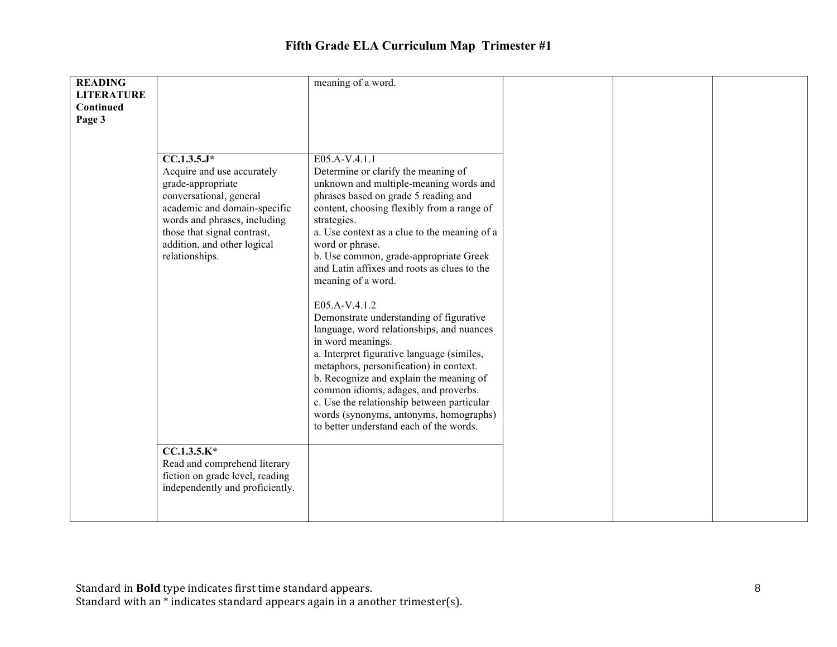| <b>READING</b>    |                                 | meaning of a word.                           |  |  |
|-------------------|---------------------------------|----------------------------------------------|--|--|
| <b>LITERATURE</b> |                                 |                                              |  |  |
|                   |                                 |                                              |  |  |
| Continued         |                                 |                                              |  |  |
| Page 3            |                                 |                                              |  |  |
|                   |                                 |                                              |  |  |
|                   |                                 |                                              |  |  |
|                   | $CC.1.3.5.J*$                   | E05.A-V.4.1.1                                |  |  |
|                   |                                 |                                              |  |  |
|                   | Acquire and use accurately      | Determine or clarify the meaning of          |  |  |
|                   | grade-appropriate               | unknown and multiple-meaning words and       |  |  |
|                   | conversational, general         | phrases based on grade 5 reading and         |  |  |
|                   | academic and domain-specific    | content, choosing flexibly from a range of   |  |  |
|                   | words and phrases, including    | strategies.                                  |  |  |
|                   | those that signal contrast,     | a. Use context as a clue to the meaning of a |  |  |
|                   | addition, and other logical     | word or phrase.                              |  |  |
|                   | relationships.                  | b. Use common, grade-appropriate Greek       |  |  |
|                   |                                 | and Latin affixes and roots as clues to the  |  |  |
|                   |                                 | meaning of a word.                           |  |  |
|                   |                                 |                                              |  |  |
|                   |                                 | E05.A-V.4.1.2                                |  |  |
|                   |                                 |                                              |  |  |
|                   |                                 | Demonstrate understanding of figurative      |  |  |
|                   |                                 | language, word relationships, and nuances    |  |  |
|                   |                                 | in word meanings.                            |  |  |
|                   |                                 | a. Interpret figurative language (similes,   |  |  |
|                   |                                 | metaphors, personification) in context.      |  |  |
|                   |                                 | b. Recognize and explain the meaning of      |  |  |
|                   |                                 | common idioms, adages, and proverbs.         |  |  |
|                   |                                 | c. Use the relationship between particular   |  |  |
|                   |                                 | words (synonyms, antonyms, homographs)       |  |  |
|                   |                                 | to better understand each of the words.      |  |  |
|                   |                                 |                                              |  |  |
|                   | $CC.1.3.5.K*$                   |                                              |  |  |
|                   | Read and comprehend literary    |                                              |  |  |
|                   | fiction on grade level, reading |                                              |  |  |
|                   | independently and proficiently. |                                              |  |  |
|                   |                                 |                                              |  |  |
|                   |                                 |                                              |  |  |
|                   |                                 |                                              |  |  |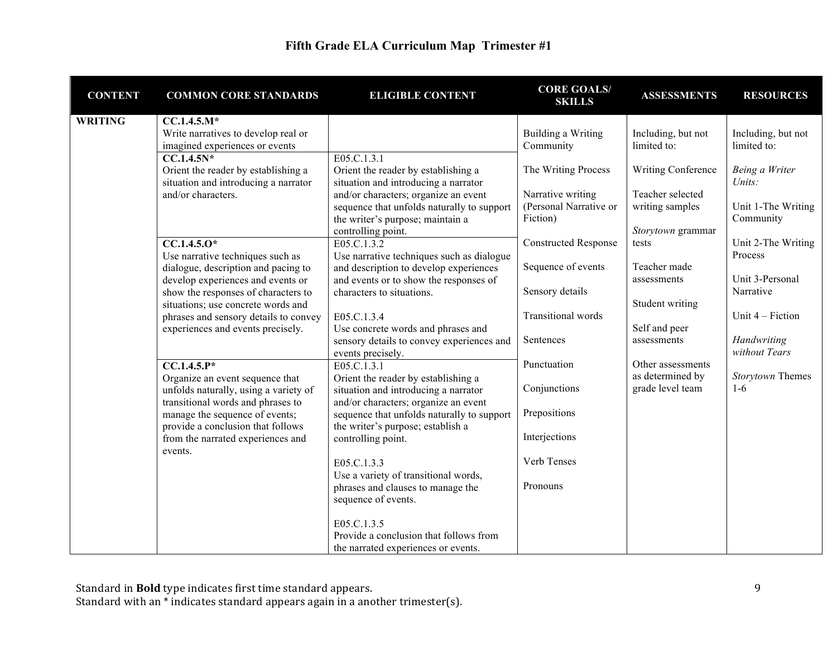| <b>CONTENT</b> | <b>COMMON CORE STANDARDS</b>                                           | <b>ELIGIBLE CONTENT</b>                                        | <b>CORE GOALS/</b><br><b>SKILLS</b> | <b>ASSESSMENTS</b>           | <b>RESOURCES</b>              |
|----------------|------------------------------------------------------------------------|----------------------------------------------------------------|-------------------------------------|------------------------------|-------------------------------|
| <b>WRITING</b> | $CC.1.4.5.M*$                                                          |                                                                |                                     |                              |                               |
|                | Write narratives to develop real or                                    |                                                                | <b>Building a Writing</b>           | Including, but not           | Including, but not            |
|                | imagined experiences or events                                         |                                                                | Community                           | limited to:                  | limited to:                   |
|                | $CC.1.4.5N*$<br>Orient the reader by establishing a                    | E05.C.1.3.1<br>Orient the reader by establishing a             | The Writing Process                 | <b>Writing Conference</b>    | Being a Writer                |
|                | situation and introducing a narrator                                   | situation and introducing a narrator                           |                                     |                              | Units:                        |
|                | and/or characters.                                                     | and/or characters; organize an event                           | Narrative writing                   | Teacher selected             |                               |
|                |                                                                        | sequence that unfolds naturally to support                     | (Personal Narrative or              | writing samples              | Unit 1-The Writing            |
|                |                                                                        | the writer's purpose; maintain a                               | Fiction)                            |                              | Community                     |
|                |                                                                        | controlling point.                                             |                                     | Storytown grammar            |                               |
|                | $CC.1.4.5.0*$<br>Use narrative techniques such as                      | E05.C.1.3.2<br>Use narrative techniques such as dialogue       | <b>Constructed Response</b>         | tests                        | Unit 2-The Writing<br>Process |
|                | dialogue, description and pacing to                                    | and description to develop experiences                         | Sequence of events                  | Teacher made                 |                               |
|                | develop experiences and events or                                      | and events or to show the responses of                         |                                     | assessments                  | Unit 3-Personal               |
|                | show the responses of characters to                                    | characters to situations.                                      | Sensory details                     |                              | Narrative                     |
|                | situations; use concrete words and                                     |                                                                |                                     | Student writing              |                               |
|                | phrases and sensory details to convey                                  | E05.C.1.3.4                                                    | <b>Transitional</b> words           |                              | Unit 4 – Fiction              |
|                | experiences and events precisely.                                      | Use concrete words and phrases and                             | Sentences                           | Self and peer<br>assessments | Handwriting                   |
|                |                                                                        | sensory details to convey experiences and<br>events precisely. |                                     |                              | without Tears                 |
|                | $CC.1.4.5.P*$                                                          | E05.C.1.3.1                                                    | Punctuation                         | Other assessments            |                               |
|                | Organize an event sequence that                                        | Orient the reader by establishing a                            |                                     | as determined by             | Storytown Themes              |
|                | unfolds naturally, using a variety of                                  | situation and introducing a narrator                           | Conjunctions                        | grade level team             | $1-6$                         |
|                | transitional words and phrases to                                      | and/or characters; organize an event                           |                                     |                              |                               |
|                | manage the sequence of events;                                         | sequence that unfolds naturally to support                     | Prepositions                        |                              |                               |
|                | provide a conclusion that follows<br>from the narrated experiences and | the writer's purpose; establish a<br>controlling point.        | Interjections                       |                              |                               |
|                | events.                                                                |                                                                |                                     |                              |                               |
|                |                                                                        | E05.C.1.3.3                                                    | Verb Tenses                         |                              |                               |
|                |                                                                        | Use a variety of transitional words,                           |                                     |                              |                               |
|                |                                                                        | phrases and clauses to manage the                              | Pronouns                            |                              |                               |
|                |                                                                        | sequence of events.                                            |                                     |                              |                               |
|                |                                                                        | E05.C.1.3.5                                                    |                                     |                              |                               |
|                |                                                                        | Provide a conclusion that follows from                         |                                     |                              |                               |
|                |                                                                        | the narrated experiences or events.                            |                                     |                              |                               |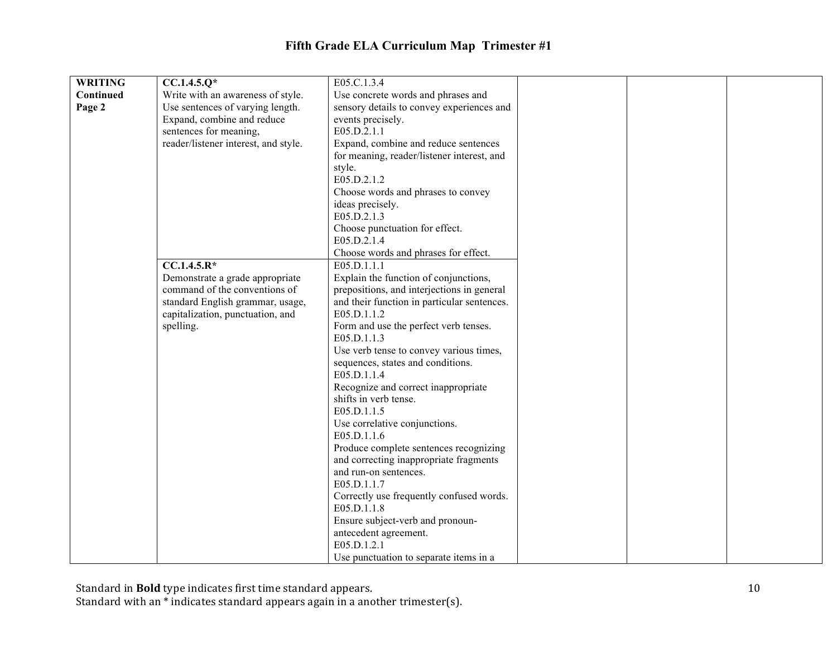| <b>WRITING</b> | $CC.1.4.5.Q*$                        | E05.C.1.3.4                                             |  |  |
|----------------|--------------------------------------|---------------------------------------------------------|--|--|
| Continued      | Write with an awareness of style.    | Use concrete words and phrases and                      |  |  |
| Page 2         | Use sentences of varying length.     | sensory details to convey experiences and               |  |  |
|                | Expand, combine and reduce           | events precisely.                                       |  |  |
|                | sentences for meaning,               | E05.D.2.1.1                                             |  |  |
|                | reader/listener interest, and style. | Expand, combine and reduce sentences                    |  |  |
|                |                                      | for meaning, reader/listener interest, and              |  |  |
|                |                                      | style.                                                  |  |  |
|                |                                      | E05.D.2.1.2                                             |  |  |
|                |                                      | Choose words and phrases to convey                      |  |  |
|                |                                      | ideas precisely.                                        |  |  |
|                |                                      | E05.D.2.1.3                                             |  |  |
|                |                                      | Choose punctuation for effect.                          |  |  |
|                |                                      | E05.D.2.1.4                                             |  |  |
|                |                                      | Choose words and phrases for effect.                    |  |  |
|                | $CC.1.4.5.R*$                        | E05.D.1.1.1                                             |  |  |
|                | Demonstrate a grade appropriate      | Explain the function of conjunctions,                   |  |  |
|                | command of the conventions of        | prepositions, and interjections in general              |  |  |
|                | standard English grammar, usage,     | and their function in particular sentences.             |  |  |
|                | capitalization, punctuation, and     | E05.D.1.1.2                                             |  |  |
|                | spelling.                            | Form and use the perfect verb tenses.                   |  |  |
|                |                                      | E05.D.1.1.3                                             |  |  |
|                |                                      | Use verb tense to convey various times,                 |  |  |
|                |                                      | sequences, states and conditions.                       |  |  |
|                |                                      | E05.D.1.1.4                                             |  |  |
|                |                                      | Recognize and correct inappropriate                     |  |  |
|                |                                      | shifts in verb tense.                                   |  |  |
|                |                                      | E05.D.1.1.5                                             |  |  |
|                |                                      | Use correlative conjunctions.                           |  |  |
|                |                                      | E05.D.1.1.6                                             |  |  |
|                |                                      | Produce complete sentences recognizing                  |  |  |
|                |                                      | and correcting inappropriate fragments                  |  |  |
|                |                                      | and run-on sentences.                                   |  |  |
|                |                                      | E05.D.1.1.7                                             |  |  |
|                |                                      | Correctly use frequently confused words.<br>E05.D.1.1.8 |  |  |
|                |                                      |                                                         |  |  |
|                |                                      | Ensure subject-verb and pronoun-                        |  |  |
|                |                                      | antecedent agreement.<br>E05.D.1.2.1                    |  |  |
|                |                                      |                                                         |  |  |
|                |                                      | Use punctuation to separate items in a                  |  |  |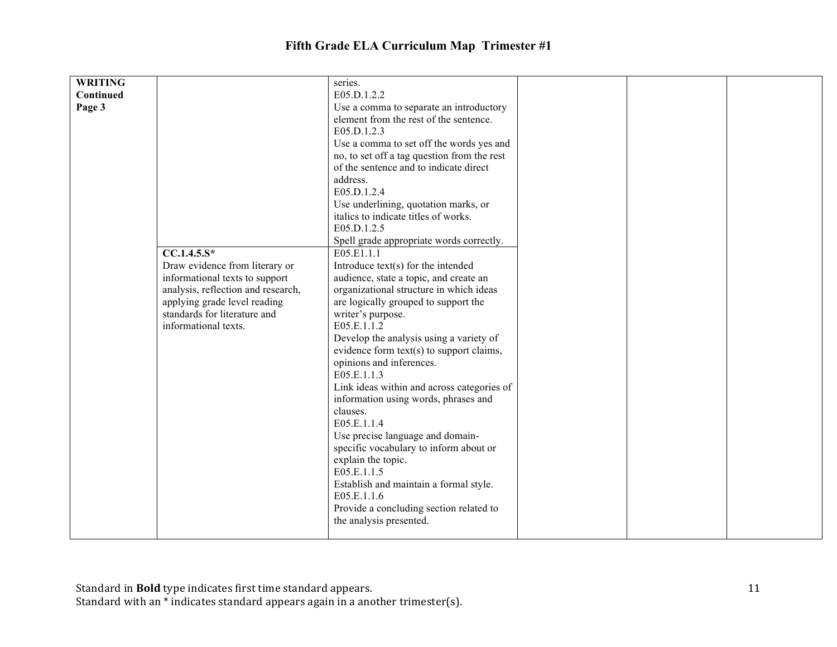| <b>WRITING</b> |                                    | series.                                                            |  |  |
|----------------|------------------------------------|--------------------------------------------------------------------|--|--|
| Continued      |                                    | E05.D.1.2.2                                                        |  |  |
| Page 3         |                                    | Use a comma to separate an introductory                            |  |  |
|                |                                    | element from the rest of the sentence.                             |  |  |
|                |                                    | E05.D.1.2.3                                                        |  |  |
|                |                                    | Use a comma to set off the words yes and                           |  |  |
|                |                                    | no, to set off a tag question from the rest                        |  |  |
|                |                                    | of the sentence and to indicate direct                             |  |  |
|                |                                    | address.                                                           |  |  |
|                |                                    | E05.D.1.2.4                                                        |  |  |
|                |                                    | Use underlining, quotation marks, or                               |  |  |
|                |                                    | italics to indicate titles of works.                               |  |  |
|                |                                    | E05.D.1.2.5                                                        |  |  |
|                |                                    | Spell grade appropriate words correctly.                           |  |  |
|                | $CC.1.4.5.S*$                      | E05.E1.1.1                                                         |  |  |
|                | Draw evidence from literary or     | Introduce $text(s)$ for the intended                               |  |  |
|                | informational texts to support     | audience, state a topic, and create an                             |  |  |
|                | analysis, reflection and research, | organizational structure in which ideas                            |  |  |
|                | applying grade level reading       | are logically grouped to support the                               |  |  |
|                | standards for literature and       | writer's purpose.                                                  |  |  |
|                | informational texts.               | E05.E.1.1.2                                                        |  |  |
|                |                                    | Develop the analysis using a variety of                            |  |  |
|                |                                    | evidence form text(s) to support claims,                           |  |  |
|                |                                    | opinions and inferences.                                           |  |  |
|                |                                    | E05.E.1.1.3                                                        |  |  |
|                |                                    | Link ideas within and across categories of                         |  |  |
|                |                                    | information using words, phrases and                               |  |  |
|                |                                    | clauses.                                                           |  |  |
|                |                                    | E05.E.1.1.4                                                        |  |  |
|                |                                    | Use precise language and domain-                                   |  |  |
|                |                                    | specific vocabulary to inform about or                             |  |  |
|                |                                    | explain the topic.                                                 |  |  |
|                |                                    | E05.E.1.1.5                                                        |  |  |
|                |                                    | Establish and maintain a formal style.                             |  |  |
|                |                                    | E05.E.1.1.6                                                        |  |  |
|                |                                    |                                                                    |  |  |
|                |                                    | Provide a concluding section related to<br>the analysis presented. |  |  |
|                |                                    |                                                                    |  |  |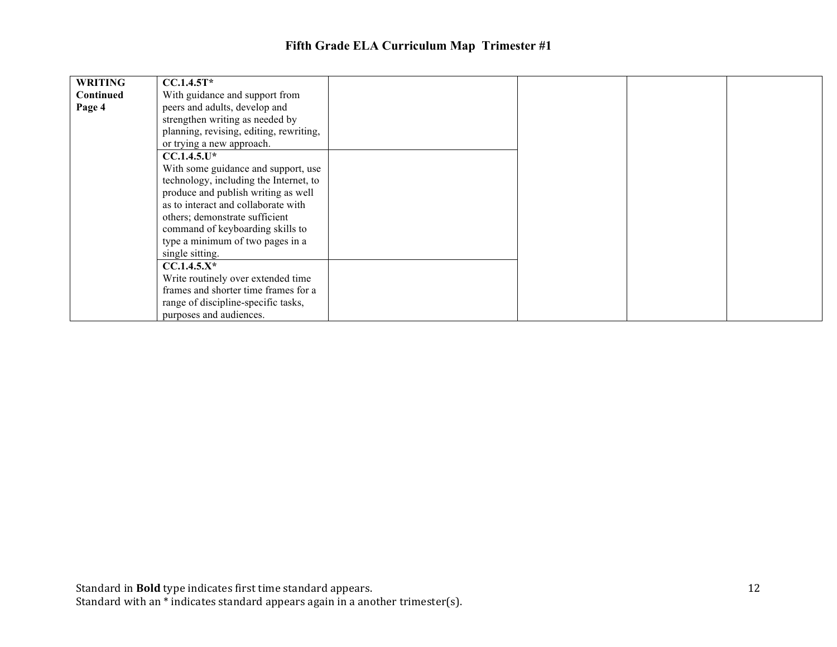| <b>WRITING</b> | $CCA.4.5T*$                             |  |  |
|----------------|-----------------------------------------|--|--|
| Continued      | With guidance and support from          |  |  |
| Page 4         | peers and adults, develop and           |  |  |
|                | strengthen writing as needed by         |  |  |
|                | planning, revising, editing, rewriting, |  |  |
|                | or trying a new approach.               |  |  |
|                | $CC.1.4.5.U*$                           |  |  |
|                | With some guidance and support, use     |  |  |
|                | technology, including the Internet, to  |  |  |
|                | produce and publish writing as well     |  |  |
|                | as to interact and collaborate with     |  |  |
|                | others; demonstrate sufficient          |  |  |
|                | command of keyboarding skills to        |  |  |
|                | type a minimum of two pages in a        |  |  |
|                | single sitting.                         |  |  |
|                | $CC.1.4.5.X*$                           |  |  |
|                | Write routinely over extended time      |  |  |
|                | frames and shorter time frames for a    |  |  |
|                | range of discipline-specific tasks,     |  |  |
|                | purposes and audiences.                 |  |  |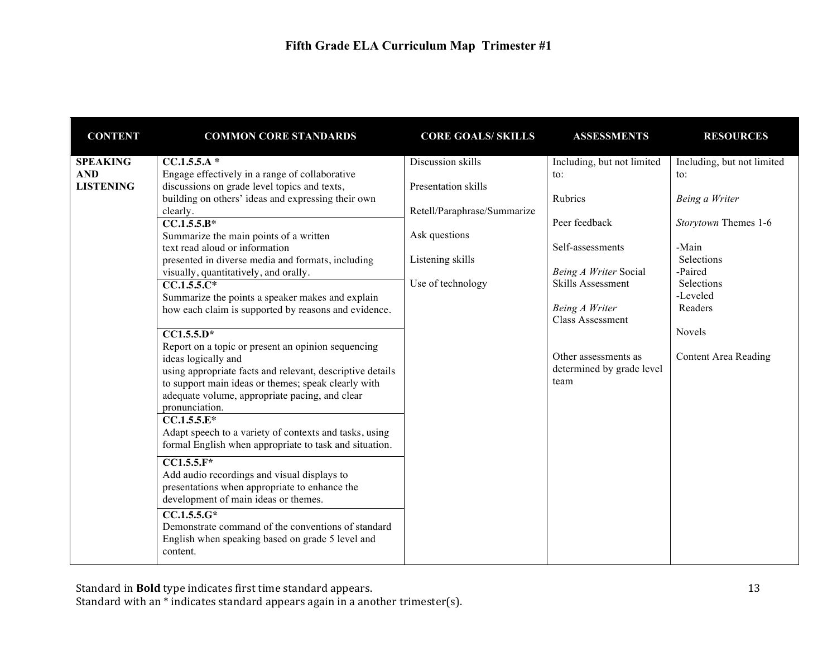| <b>CONTENT</b>                                    | <b>COMMON CORE STANDARDS</b>                                                                                                                                                                                                                                                                                                                                                                                                                                                                                                                                                                                                                                                                                                                                                                                                                                                                                                                                                                                                                                                                                                                                                                                                                                          | <b>CORE GOALS/ SKILLS</b>                                                                                                         | <b>ASSESSMENTS</b>                                                                                                                                                                                                                        | <b>RESOURCES</b>                                                                                                                                                                     |
|---------------------------------------------------|-----------------------------------------------------------------------------------------------------------------------------------------------------------------------------------------------------------------------------------------------------------------------------------------------------------------------------------------------------------------------------------------------------------------------------------------------------------------------------------------------------------------------------------------------------------------------------------------------------------------------------------------------------------------------------------------------------------------------------------------------------------------------------------------------------------------------------------------------------------------------------------------------------------------------------------------------------------------------------------------------------------------------------------------------------------------------------------------------------------------------------------------------------------------------------------------------------------------------------------------------------------------------|-----------------------------------------------------------------------------------------------------------------------------------|-------------------------------------------------------------------------------------------------------------------------------------------------------------------------------------------------------------------------------------------|--------------------------------------------------------------------------------------------------------------------------------------------------------------------------------------|
| <b>SPEAKING</b><br><b>AND</b><br><b>LISTENING</b> | $CC.1.5.5.A*$<br>Engage effectively in a range of collaborative<br>discussions on grade level topics and texts,<br>building on others' ideas and expressing their own<br>clearly.<br>$CC.1.\overline{5.5.B*}$<br>Summarize the main points of a written<br>text read aloud or information<br>presented in diverse media and formats, including<br>visually, quantitatively, and orally.<br>$CC.1.5.5.C*$<br>Summarize the points a speaker makes and explain<br>how each claim is supported by reasons and evidence.<br>$\overline{CC1.5.5.D^*}$<br>Report on a topic or present an opinion sequencing<br>ideas logically and<br>using appropriate facts and relevant, descriptive details<br>to support main ideas or themes; speak clearly with<br>adequate volume, appropriate pacing, and clear<br>pronunciation.<br>$CC.1.5.5.E*$<br>Adapt speech to a variety of contexts and tasks, using<br>formal English when appropriate to task and situation.<br>$CC1.5.5.F*$<br>Add audio recordings and visual displays to<br>presentations when appropriate to enhance the<br>development of main ideas or themes.<br>$\overline{CC.1.5.5.G^*}$<br>Demonstrate command of the conventions of standard<br>English when speaking based on grade 5 level and<br>content. | Discussion skills<br>Presentation skills<br>Retell/Paraphrase/Summarize<br>Ask questions<br>Listening skills<br>Use of technology | Including, but not limited<br>to:<br>Rubrics<br>Peer feedback<br>Self-assessments<br>Being A Writer Social<br>Skills Assessment<br>Being A Writer<br><b>Class Assessment</b><br>Other assessments as<br>determined by grade level<br>team | Including, but not limited<br>to:<br>Being a Writer<br>Storytown Themes 1-6<br>-Main<br>Selections<br>-Paired<br>Selections<br>-Leveled<br>Readers<br>Novels<br>Content Area Reading |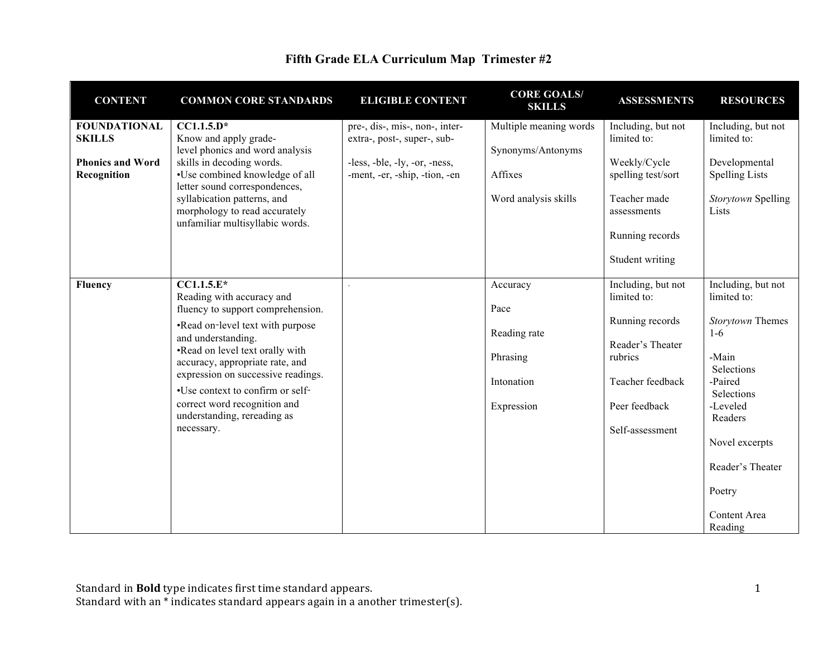| <b>CONTENT</b>          | <b>COMMON CORE STANDARDS</b>       | <b>ELIGIBLE CONTENT</b>        | <b>CORE GOALS/</b><br><b>SKILLS</b> | <b>ASSESSMENTS</b> | <b>RESOURCES</b>          |
|-------------------------|------------------------------------|--------------------------------|-------------------------------------|--------------------|---------------------------|
| <b>FOUNDATIONAL</b>     | $CC1.1.5.D*$                       | pre-, dis-, mis-, non-, inter- | Multiple meaning words              | Including, but not | Including, but not        |
| <b>SKILLS</b>           | Know and apply grade-              | extra-, post-, super-, sub-    |                                     | limited to:        | limited to:               |
|                         | level phonics and word analysis    |                                | Synonyms/Antonyms                   |                    |                           |
| <b>Phonics and Word</b> | skills in decoding words.          | -less, -ble, -ly, -or, -ness,  |                                     | Weekly/Cycle       | Developmental             |
| Recognition             | •Use combined knowledge of all     | -ment, -er, -ship, -tion, -en  | Affixes                             | spelling test/sort | <b>Spelling Lists</b>     |
|                         | letter sound correspondences,      |                                |                                     |                    |                           |
|                         | syllabication patterns, and        |                                | Word analysis skills                | Teacher made       | Storytown Spelling        |
|                         | morphology to read accurately      |                                |                                     | assessments        | Lists                     |
|                         | unfamiliar multisyllabic words.    |                                |                                     |                    |                           |
|                         |                                    |                                |                                     | Running records    |                           |
|                         |                                    |                                |                                     |                    |                           |
|                         |                                    |                                |                                     | Student writing    |                           |
|                         |                                    |                                |                                     |                    |                           |
| <b>Fluency</b>          | $CCA.1.5.E*$                       |                                | Accuracy                            | Including, but not | Including, but not        |
|                         | Reading with accuracy and          |                                |                                     | limited to:        | limited to:               |
|                         | fluency to support comprehension.  |                                | Pace                                |                    |                           |
|                         | •Read on-level text with purpose   |                                | Reading rate                        | Running records    | Storytown Themes<br>$1-6$ |
|                         | and understanding.                 |                                |                                     | Reader's Theater   |                           |
|                         | •Read on level text orally with    |                                | Phrasing                            | rubrics            | -Main                     |
|                         | accuracy, appropriate rate, and    |                                |                                     |                    | Selections                |
|                         | expression on successive readings. |                                | Intonation                          | Teacher feedback   | -Paired                   |
|                         | •Use context to confirm or self-   |                                |                                     |                    | Selections                |
|                         | correct word recognition and       |                                | Expression                          | Peer feedback      | -Leveled                  |
|                         | understanding, rereading as        |                                |                                     |                    | Readers                   |
|                         | necessary.                         |                                |                                     | Self-assessment    |                           |
|                         |                                    |                                |                                     |                    | Novel excerpts            |
|                         |                                    |                                |                                     |                    |                           |
|                         |                                    |                                |                                     |                    | Reader's Theater          |
|                         |                                    |                                |                                     |                    |                           |
|                         |                                    |                                |                                     |                    | Poetry                    |
|                         |                                    |                                |                                     |                    |                           |
|                         |                                    |                                |                                     |                    | Content Area              |
|                         |                                    |                                |                                     |                    | Reading                   |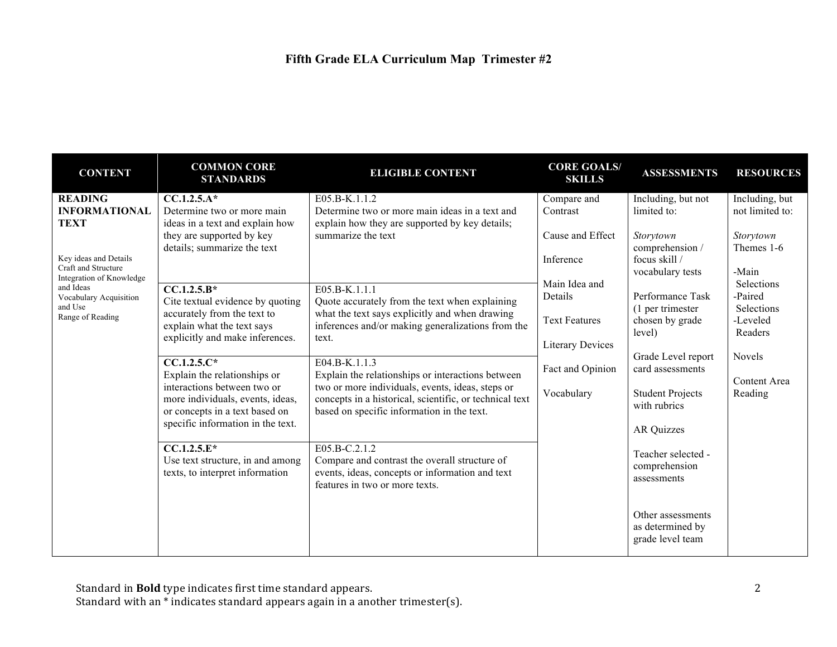| <b>CONTENT</b>                                                                                                                                                                                          | <b>COMMON CORE</b><br><b>STANDARDS</b>                                                                                                                                                                                                                                                                                                                                                                                                                                                                                                                      | <b>ELIGIBLE CONTENT</b>                                                                                                                                                                                                                                                                                                                                                                                                                                                                                                                                                                                                           | <b>CORE GOALS/</b><br><b>SKILLS</b>                                                                                                                                       | <b>ASSESSMENTS</b>                                                                                                                                                                                                                                                                                                           | <b>RESOURCES</b>                                                                                                                                                         |
|---------------------------------------------------------------------------------------------------------------------------------------------------------------------------------------------------------|-------------------------------------------------------------------------------------------------------------------------------------------------------------------------------------------------------------------------------------------------------------------------------------------------------------------------------------------------------------------------------------------------------------------------------------------------------------------------------------------------------------------------------------------------------------|-----------------------------------------------------------------------------------------------------------------------------------------------------------------------------------------------------------------------------------------------------------------------------------------------------------------------------------------------------------------------------------------------------------------------------------------------------------------------------------------------------------------------------------------------------------------------------------------------------------------------------------|---------------------------------------------------------------------------------------------------------------------------------------------------------------------------|------------------------------------------------------------------------------------------------------------------------------------------------------------------------------------------------------------------------------------------------------------------------------------------------------------------------------|--------------------------------------------------------------------------------------------------------------------------------------------------------------------------|
| <b>READING</b><br><b>INFORMATIONAL</b><br><b>TEXT</b><br>Key ideas and Details<br>Craft and Structure<br>Integration of Knowledge<br>and Ideas<br>Vocabulary Acquisition<br>and Use<br>Range of Reading | $CC.1.2.5.A*$<br>Determine two or more main<br>ideas in a text and explain how<br>they are supported by key<br>details; summarize the text<br>$CC.1.2.5.B*$<br>Cite textual evidence by quoting<br>accurately from the text to<br>explain what the text says<br>explicitly and make inferences.<br>$CC.1.2.5.C*$<br>Explain the relationships or<br>interactions between two or<br>more individuals, events, ideas,<br>or concepts in a text based on<br>specific information in the text.<br>$\overline{CC.1.2.5.E^*}$<br>Use text structure, in and among | E05.B-K.1.1.2<br>Determine two or more main ideas in a text and<br>explain how they are supported by key details;<br>summarize the text<br>E05.B-K.1.1.1<br>Quote accurately from the text when explaining<br>what the text says explicitly and when drawing<br>inferences and/or making generalizations from the<br>text.<br>E04.B-K.1.1.3<br>Explain the relationships or interactions between<br>two or more individuals, events, ideas, steps or<br>concepts in a historical, scientific, or technical text<br>based on specific information in the text.<br>$E05.B-C.2.1.2$<br>Compare and contrast the overall structure of | Compare and<br>Contrast<br>Cause and Effect<br>Inference<br>Main Idea and<br>Details<br><b>Text Features</b><br><b>Literary Devices</b><br>Fact and Opinion<br>Vocabulary | Including, but not<br>limited to:<br>Storytown<br>comprehension /<br>focus skill /<br>vocabulary tests<br>Performance Task<br>(1 per trimester<br>chosen by grade<br>level)<br>Grade Level report<br>card assessments<br><b>Student Projects</b><br>with rubrics<br><b>AR Quizzes</b><br>Teacher selected -<br>comprehension | Including, but<br>not limited to:<br>Storytown<br>Themes 1-6<br>-Main<br>Selections<br>-Paired<br>Selections<br>-Leveled<br>Readers<br>Novels<br>Content Area<br>Reading |
|                                                                                                                                                                                                         | texts, to interpret information                                                                                                                                                                                                                                                                                                                                                                                                                                                                                                                             | events, ideas, concepts or information and text<br>features in two or more texts.                                                                                                                                                                                                                                                                                                                                                                                                                                                                                                                                                 |                                                                                                                                                                           | assessments<br>Other assessments<br>as determined by<br>grade level team                                                                                                                                                                                                                                                     |                                                                                                                                                                          |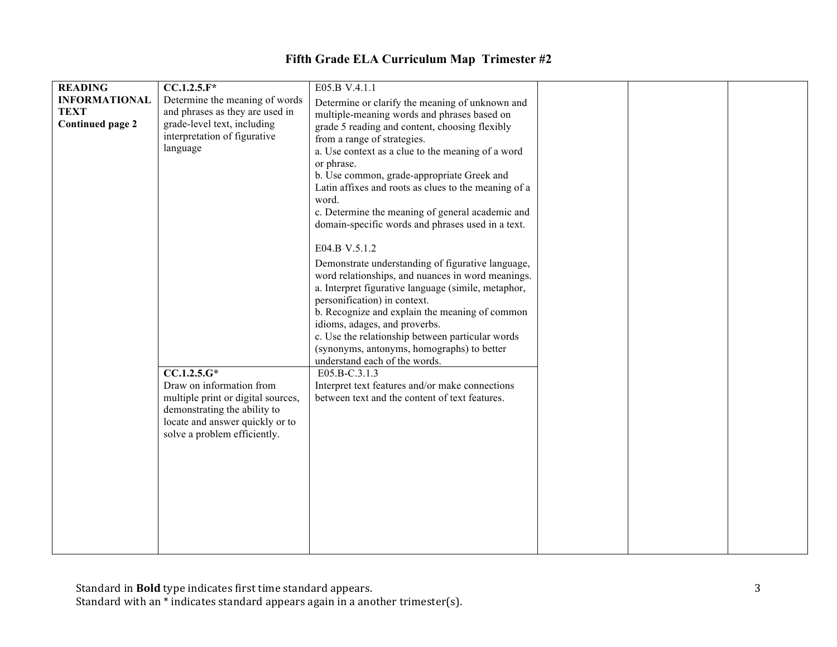| <b>READING</b>          | $CC.1.2.5.F*$                      | E05.B-V.4.1.1                                                                                     |  |  |
|-------------------------|------------------------------------|---------------------------------------------------------------------------------------------------|--|--|
| <b>INFORMATIONAL</b>    | Determine the meaning of words     | Determine or clarify the meaning of unknown and                                                   |  |  |
| <b>TEXT</b>             | and phrases as they are used in    | multiple-meaning words and phrases based on                                                       |  |  |
| <b>Continued page 2</b> | grade-level text, including        | grade 5 reading and content, choosing flexibly                                                    |  |  |
|                         | interpretation of figurative       | from a range of strategies.                                                                       |  |  |
|                         | language                           | a. Use context as a clue to the meaning of a word                                                 |  |  |
|                         |                                    |                                                                                                   |  |  |
|                         |                                    | or phrase.                                                                                        |  |  |
|                         |                                    | b. Use common, grade-appropriate Greek and                                                        |  |  |
|                         |                                    | Latin affixes and roots as clues to the meaning of a                                              |  |  |
|                         |                                    | word.                                                                                             |  |  |
|                         |                                    | c. Determine the meaning of general academic and                                                  |  |  |
|                         |                                    | domain-specific words and phrases used in a text.                                                 |  |  |
|                         |                                    |                                                                                                   |  |  |
|                         |                                    | E04.B-V.5.1.2                                                                                     |  |  |
|                         |                                    | Demonstrate understanding of figurative language,                                                 |  |  |
|                         |                                    | word relationships, and nuances in word meanings.                                                 |  |  |
|                         |                                    | a. Interpret figurative language (simile, metaphor,                                               |  |  |
|                         |                                    | personification) in context.                                                                      |  |  |
|                         |                                    | b. Recognize and explain the meaning of common                                                    |  |  |
|                         |                                    | idioms, adages, and proverbs.                                                                     |  |  |
|                         |                                    | c. Use the relationship between particular words                                                  |  |  |
|                         |                                    | (synonyms, antonyms, homographs) to better                                                        |  |  |
|                         |                                    | understand each of the words.                                                                     |  |  |
|                         | $CC.1.2.5.G*$                      | E05.B-C.3.1.3                                                                                     |  |  |
|                         |                                    |                                                                                                   |  |  |
|                         | Draw on information from           | Interpret text features and/or make connections<br>between text and the content of text features. |  |  |
|                         | multiple print or digital sources, |                                                                                                   |  |  |
|                         | demonstrating the ability to       |                                                                                                   |  |  |
|                         | locate and answer quickly or to    |                                                                                                   |  |  |
|                         | solve a problem efficiently.       |                                                                                                   |  |  |
|                         |                                    |                                                                                                   |  |  |
|                         |                                    |                                                                                                   |  |  |
|                         |                                    |                                                                                                   |  |  |
|                         |                                    |                                                                                                   |  |  |
|                         |                                    |                                                                                                   |  |  |
|                         |                                    |                                                                                                   |  |  |
|                         |                                    |                                                                                                   |  |  |
|                         |                                    |                                                                                                   |  |  |
|                         |                                    |                                                                                                   |  |  |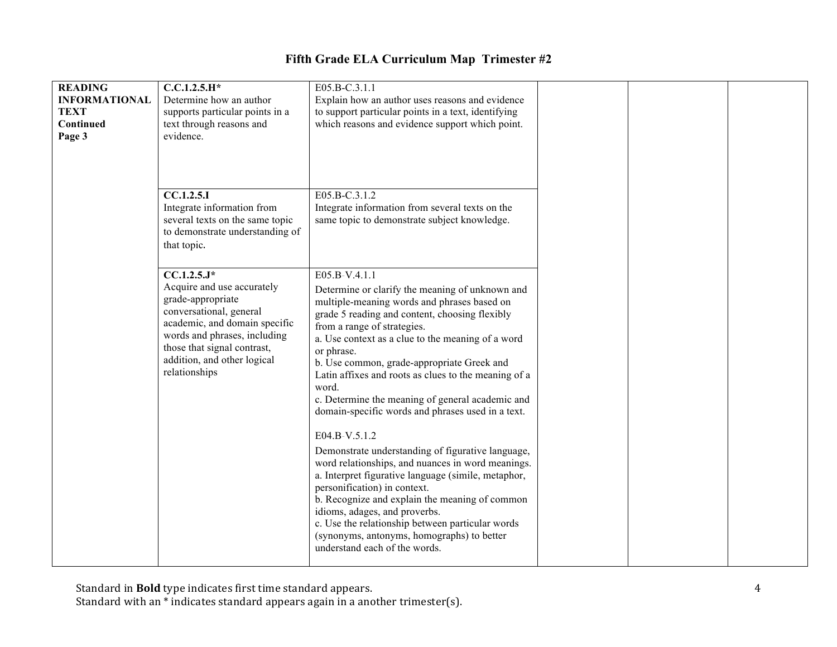| <b>READING</b><br><b>INFORMATIONAL</b><br><b>TEXT</b><br>Continued<br>Page 3 | $C.C.1.2.5.H*$<br>Determine how an author<br>supports particular points in a<br>text through reasons and<br>evidence.                                                                                                                       | E05.B-C.3.1.1<br>Explain how an author uses reasons and evidence<br>to support particular points in a text, identifying<br>which reasons and evidence support which point.                                                                                                                                                                                                                                                                                                                                                                                                                                                                                                                                                                                                                                                                                                                                                          |  |  |
|------------------------------------------------------------------------------|---------------------------------------------------------------------------------------------------------------------------------------------------------------------------------------------------------------------------------------------|-------------------------------------------------------------------------------------------------------------------------------------------------------------------------------------------------------------------------------------------------------------------------------------------------------------------------------------------------------------------------------------------------------------------------------------------------------------------------------------------------------------------------------------------------------------------------------------------------------------------------------------------------------------------------------------------------------------------------------------------------------------------------------------------------------------------------------------------------------------------------------------------------------------------------------------|--|--|
|                                                                              | CC.1.2.5.1<br>Integrate information from<br>several texts on the same topic<br>to demonstrate understanding of<br>that topic.                                                                                                               | E05.B-C.3.1.2<br>Integrate information from several texts on the<br>same topic to demonstrate subject knowledge.                                                                                                                                                                                                                                                                                                                                                                                                                                                                                                                                                                                                                                                                                                                                                                                                                    |  |  |
|                                                                              | $CC.1.2.5.J*$<br>Acquire and use accurately<br>grade-appropriate<br>conversational, general<br>academic, and domain specific<br>words and phrases, including<br>those that signal contrast,<br>addition, and other logical<br>relationships | E05.B-V.4.1.1<br>Determine or clarify the meaning of unknown and<br>multiple-meaning words and phrases based on<br>grade 5 reading and content, choosing flexibly<br>from a range of strategies.<br>a. Use context as a clue to the meaning of a word<br>or phrase.<br>b. Use common, grade-appropriate Greek and<br>Latin affixes and roots as clues to the meaning of a<br>word.<br>c. Determine the meaning of general academic and<br>domain-specific words and phrases used in a text.<br>E04.B-V.5.1.2<br>Demonstrate understanding of figurative language,<br>word relationships, and nuances in word meanings.<br>a. Interpret figurative language (simile, metaphor,<br>personification) in context.<br>b. Recognize and explain the meaning of common<br>idioms, adages, and proverbs.<br>c. Use the relationship between particular words<br>(synonyms, antonyms, homographs) to better<br>understand each of the words. |  |  |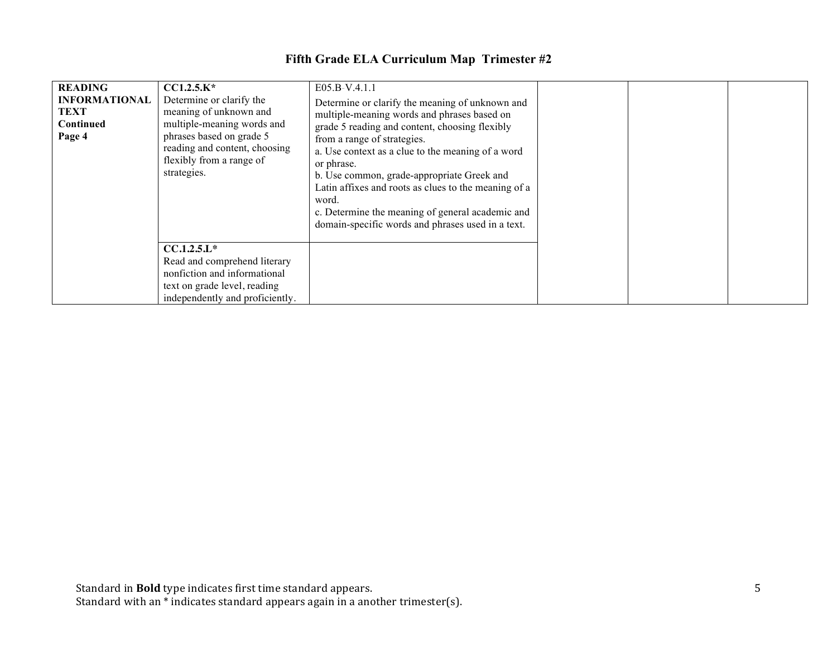| <b>READING</b><br><b>INFORMATIONAL</b><br><b>TEXT</b><br>Continued<br>Page 4 | $CCl.2.5.K*$<br>Determine or clarify the<br>meaning of unknown and<br>multiple-meaning words and<br>phrases based on grade 5<br>reading and content, choosing<br>flexibly from a range of<br>strategies. | E05.B-V.4.1.1<br>Determine or clarify the meaning of unknown and<br>multiple-meaning words and phrases based on<br>grade 5 reading and content, choosing flexibly<br>from a range of strategies.<br>a. Use context as a clue to the meaning of a word<br>or phrase.<br>b. Use common, grade-appropriate Greek and<br>Latin affixes and roots as clues to the meaning of a<br>word.<br>c. Determine the meaning of general academic and<br>domain-specific words and phrases used in a text. |  |  |
|------------------------------------------------------------------------------|----------------------------------------------------------------------------------------------------------------------------------------------------------------------------------------------------------|---------------------------------------------------------------------------------------------------------------------------------------------------------------------------------------------------------------------------------------------------------------------------------------------------------------------------------------------------------------------------------------------------------------------------------------------------------------------------------------------|--|--|
|                                                                              | $CCA.2.5.L*$<br>Read and comprehend literary<br>nonfiction and informational<br>text on grade level, reading<br>independently and proficiently.                                                          |                                                                                                                                                                                                                                                                                                                                                                                                                                                                                             |  |  |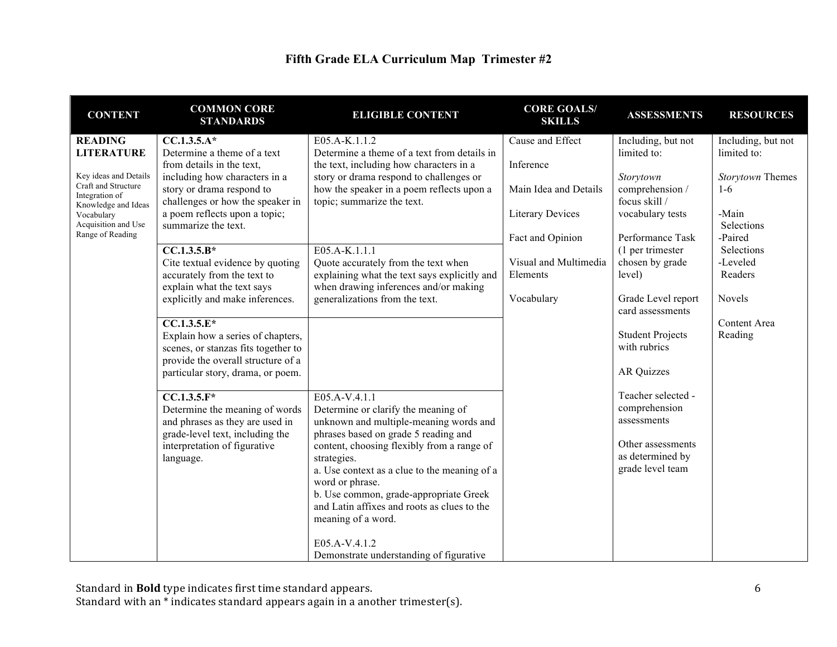| Fifth Grade ELA Curriculum Map Trimester #2 |  |  |
|---------------------------------------------|--|--|
|---------------------------------------------|--|--|

| <b>CONTENT</b>                               | <b>COMMON CORE</b><br><b>STANDARDS</b>                                    | <b>ELIGIBLE CONTENT</b>                                                               | <b>CORE GOALS/</b><br><b>SKILLS</b> | <b>ASSESSMENTS</b>                      | <b>RESOURCES</b>   |
|----------------------------------------------|---------------------------------------------------------------------------|---------------------------------------------------------------------------------------|-------------------------------------|-----------------------------------------|--------------------|
| <b>READING</b>                               | $CC.1.3.5.A*$                                                             | E05.A-K.1.1.2                                                                         | Cause and Effect                    | Including, but not                      | Including, but not |
| <b>LITERATURE</b>                            | Determine a theme of a text                                               | Determine a theme of a text from details in                                           |                                     | limited to:                             | limited to:        |
|                                              | from details in the text,                                                 | the text, including how characters in a                                               | Inference                           |                                         |                    |
| Key ideas and Details<br>Craft and Structure | including how characters in a                                             | story or drama respond to challenges or                                               |                                     | Storytown                               | Storytown Themes   |
| Integration of                               | story or drama respond to                                                 | how the speaker in a poem reflects upon a                                             | Main Idea and Details               | comprehension /                         | $1-6$              |
| Knowledge and Ideas                          | challenges or how the speaker in<br>a poem reflects upon a topic;         | topic; summarize the text.                                                            |                                     | focus skill /                           | -Main              |
| Vocabulary<br>Acquisition and Use            | summarize the text.                                                       |                                                                                       | <b>Literary Devices</b>             | vocabulary tests                        | Selections         |
| Range of Reading                             |                                                                           |                                                                                       | Fact and Opinion                    | Performance Task                        | -Paired            |
|                                              | $CC.1.3.5.B*$                                                             | $E05.A-K.1.1.1$                                                                       |                                     | (1 per trimester                        | <b>Selections</b>  |
|                                              | Cite textual evidence by quoting                                          | Quote accurately from the text when                                                   | Visual and Multimedia               | chosen by grade                         | -Leveled           |
|                                              | accurately from the text to                                               | explaining what the text says explicitly and                                          | Elements                            | level)                                  | Readers            |
|                                              | explain what the text says                                                | when drawing inferences and/or making                                                 |                                     |                                         |                    |
|                                              | explicitly and make inferences.                                           | generalizations from the text.                                                        | Vocabulary                          | Grade Level report                      | <b>Novels</b>      |
|                                              |                                                                           |                                                                                       |                                     | card assessments                        |                    |
|                                              | $\overline{CC.1.3.5.E^*}$                                                 |                                                                                       |                                     |                                         | Content Area       |
|                                              | Explain how a series of chapters,                                         |                                                                                       |                                     | <b>Student Projects</b><br>with rubrics | Reading            |
|                                              | scenes, or stanzas fits together to<br>provide the overall structure of a |                                                                                       |                                     |                                         |                    |
|                                              | particular story, drama, or poem.                                         |                                                                                       |                                     | AR Quizzes                              |                    |
|                                              |                                                                           |                                                                                       |                                     |                                         |                    |
|                                              | $CC.1.3.5.F*$                                                             | E05.A-V.4.1.1                                                                         |                                     | Teacher selected -                      |                    |
|                                              | Determine the meaning of words                                            | Determine or clarify the meaning of                                                   |                                     | comprehension                           |                    |
|                                              | and phrases as they are used in                                           | unknown and multiple-meaning words and                                                |                                     | assessments                             |                    |
|                                              | grade-level text, including the                                           | phrases based on grade 5 reading and                                                  |                                     |                                         |                    |
|                                              | interpretation of figurative                                              | content, choosing flexibly from a range of                                            |                                     | Other assessments                       |                    |
|                                              | language.                                                                 | strategies.                                                                           |                                     | as determined by                        |                    |
|                                              |                                                                           | a. Use context as a clue to the meaning of a                                          |                                     | grade level team                        |                    |
|                                              |                                                                           | word or phrase.                                                                       |                                     |                                         |                    |
|                                              |                                                                           | b. Use common, grade-appropriate Greek<br>and Latin affixes and roots as clues to the |                                     |                                         |                    |
|                                              |                                                                           | meaning of a word.                                                                    |                                     |                                         |                    |
|                                              |                                                                           | E05.A-V.4.1.2                                                                         |                                     |                                         |                    |
|                                              |                                                                           | Demonstrate understanding of figurative                                               |                                     |                                         |                    |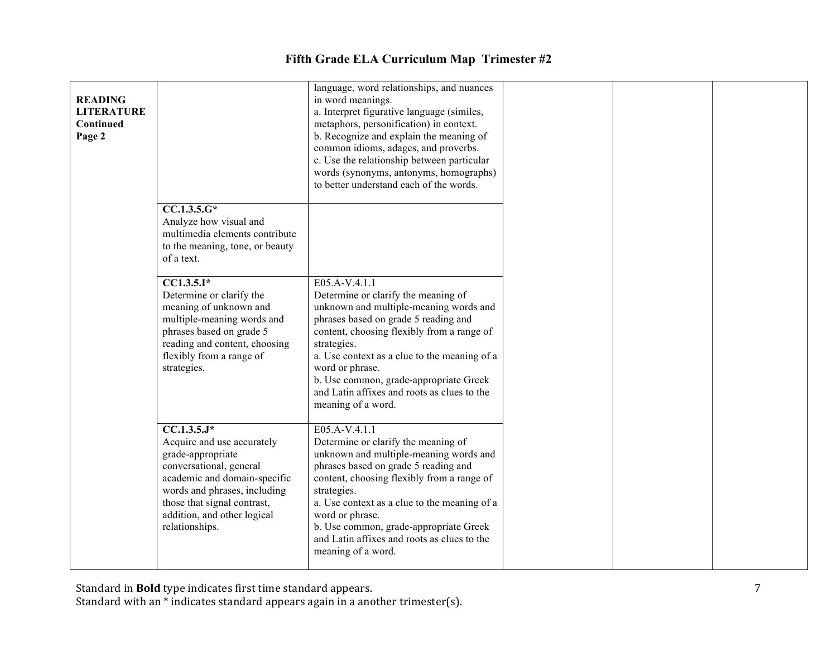| <b>READING</b><br><b>LITERATURE</b><br>Continued<br>Page 2 |                                                                                                                                                                                                                                                         | language, word relationships, and nuances<br>in word meanings.<br>a. Interpret figurative language (similes,<br>metaphors, personification) in context.<br>b. Recognize and explain the meaning of<br>common idioms, adages, and proverbs.<br>c. Use the relationship between particular<br>words (synonyms, antonyms, homographs)<br>to better understand each of the words.         |
|------------------------------------------------------------|---------------------------------------------------------------------------------------------------------------------------------------------------------------------------------------------------------------------------------------------------------|---------------------------------------------------------------------------------------------------------------------------------------------------------------------------------------------------------------------------------------------------------------------------------------------------------------------------------------------------------------------------------------|
|                                                            | $CC.1.3.5.G*$<br>Analyze how visual and<br>multimedia elements contribute<br>to the meaning, tone, or beauty<br>of a text.                                                                                                                              |                                                                                                                                                                                                                                                                                                                                                                                       |
|                                                            | $CC1.3.5.I*$<br>Determine or clarify the<br>meaning of unknown and<br>multiple-meaning words and<br>phrases based on grade 5<br>reading and content, choosing<br>flexibly from a range of<br>strategies.                                                | E05.A-V.4.1.1<br>Determine or clarify the meaning of<br>unknown and multiple-meaning words and<br>phrases based on grade 5 reading and<br>content, choosing flexibly from a range of<br>strategies.<br>a. Use context as a clue to the meaning of a<br>word or phrase.<br>b. Use common, grade-appropriate Greek<br>and Latin affixes and roots as clues to the<br>meaning of a word. |
|                                                            | $\overline{CC.1.3.5.J^*}$<br>Acquire and use accurately<br>grade-appropriate<br>conversational, general<br>academic and domain-specific<br>words and phrases, including<br>those that signal contrast,<br>addition, and other logical<br>relationships. | E05.A-V.4.1.1<br>Determine or clarify the meaning of<br>unknown and multiple-meaning words and<br>phrases based on grade 5 reading and<br>content, choosing flexibly from a range of<br>strategies.<br>a. Use context as a clue to the meaning of a<br>word or phrase.<br>b. Use common, grade-appropriate Greek<br>and Latin affixes and roots as clues to the<br>meaning of a word. |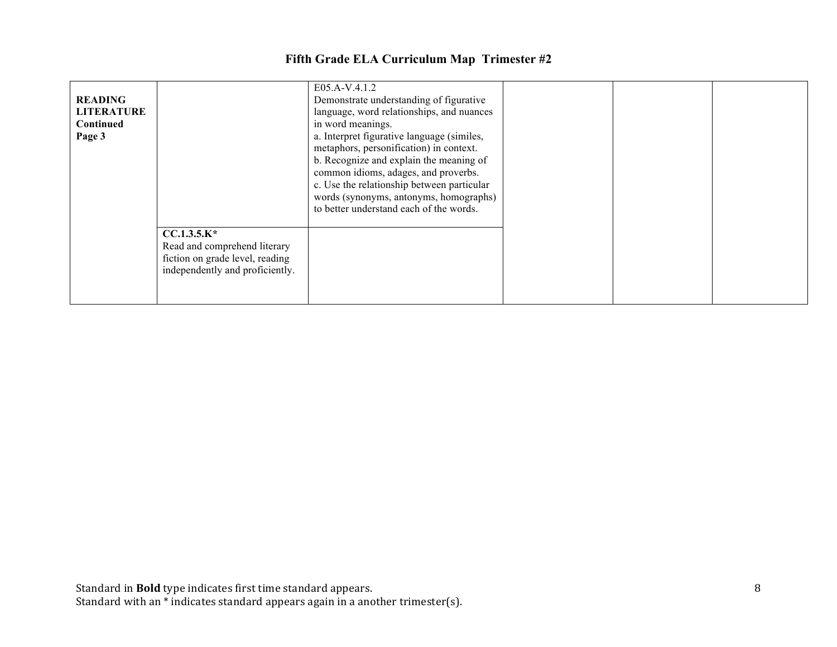| <b>READING</b><br><b>LITERATURE</b><br><b>Continued</b><br>Page 3 |                                                                                                                     | E05.A-V.4.1.2<br>Demonstrate understanding of figurative<br>language, word relationships, and nuances<br>in word meanings.<br>a. Interpret figurative language (similes,<br>metaphors, personification) in context.<br>b. Recognize and explain the meaning of<br>common idioms, adages, and proverbs.<br>c. Use the relationship between particular<br>words (synonyms, antonyms, homographs)<br>to better understand each of the words. |
|-------------------------------------------------------------------|---------------------------------------------------------------------------------------------------------------------|-------------------------------------------------------------------------------------------------------------------------------------------------------------------------------------------------------------------------------------------------------------------------------------------------------------------------------------------------------------------------------------------------------------------------------------------|
|                                                                   | $CC.1.3.5.K*$<br>Read and comprehend literary<br>fiction on grade level, reading<br>independently and proficiently. |                                                                                                                                                                                                                                                                                                                                                                                                                                           |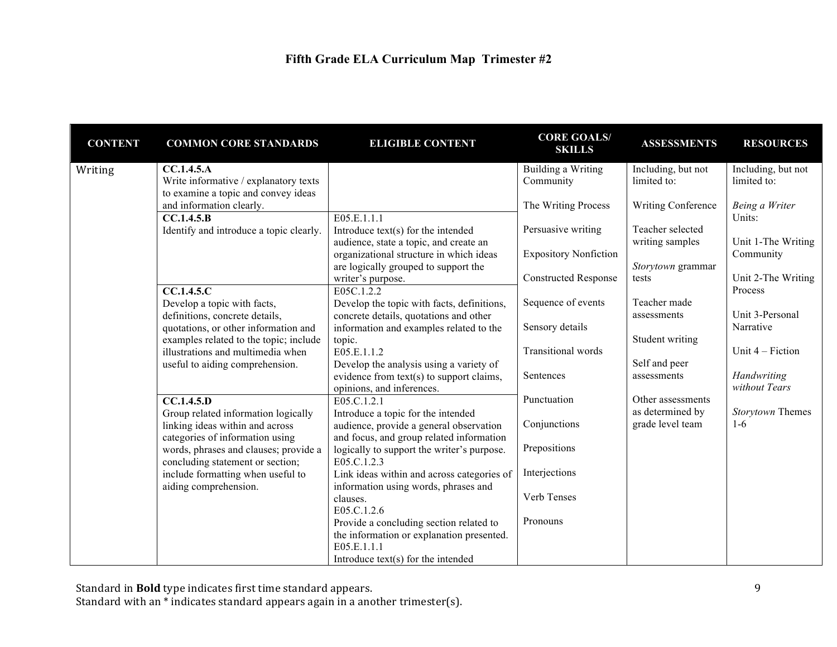| <b>CONTENT</b> | <b>COMMON CORE STANDARDS</b>            | <b>ELIGIBLE CONTENT</b>                    | <b>CORE GOALS/</b><br><b>SKILLS</b> | <b>ASSESSMENTS</b>        | <b>RESOURCES</b>   |
|----------------|-----------------------------------------|--------------------------------------------|-------------------------------------|---------------------------|--------------------|
| Writing        | CC.1.4.5.A                              |                                            | Building a Writing                  | Including, but not        | Including, but not |
|                | Write informative / explanatory texts   |                                            | Community                           | limited to:               | limited to:        |
|                | to examine a topic and convey ideas     |                                            |                                     |                           |                    |
|                | and information clearly.                |                                            | The Writing Process                 | <b>Writing Conference</b> | Being a Writer     |
|                | CC.1.4.5.B                              | E05.E.1.1.1                                |                                     |                           | Units:             |
|                | Identify and introduce a topic clearly. | Introduce text(s) for the intended         | Persuasive writing                  | Teacher selected          |                    |
|                |                                         | audience, state a topic, and create an     |                                     | writing samples           | Unit 1-The Writing |
|                |                                         | organizational structure in which ideas    | <b>Expository Nonfiction</b>        |                           | Community          |
|                |                                         | are logically grouped to support the       |                                     | Storytown grammar         |                    |
|                |                                         | writer's purpose.                          | <b>Constructed Response</b>         | tests                     | Unit 2-The Writing |
|                | CC.1.4.5.C                              | E05C.1.2.2                                 |                                     |                           | Process            |
|                | Develop a topic with facts,             | Develop the topic with facts, definitions, | Sequence of events                  | Teacher made              |                    |
|                | definitions, concrete details,          | concrete details, quotations and other     |                                     | assessments               | Unit 3-Personal    |
|                | quotations, or other information and    | information and examples related to the    | Sensory details                     |                           | Narrative          |
|                | examples related to the topic; include  | topic.                                     |                                     | Student writing           | Unit $4$ – Fiction |
|                | illustrations and multimedia when       | E05.E.1.1.2                                | Transitional words                  | Self and peer             |                    |
|                | useful to aiding comprehension.         | Develop the analysis using a variety of    | Sentences                           | assessments               | Handwriting        |
|                |                                         | evidence from text(s) to support claims,   |                                     |                           | without Tears      |
|                | CC.1.4.5.D                              | opinions, and inferences.<br>E05.C.1.2.1   | Punctuation                         | Other assessments         |                    |
|                | Group related information logically     | Introduce a topic for the intended         |                                     | as determined by          | Storytown Themes   |
|                | linking ideas within and across         | audience, provide a general observation    | Conjunctions                        | grade level team          | $1-6$              |
|                | categories of information using         | and focus, and group related information   |                                     |                           |                    |
|                | words, phrases and clauses; provide a   | logically to support the writer's purpose. | Prepositions                        |                           |                    |
|                | concluding statement or section;        | E05.C.1.2.3                                |                                     |                           |                    |
|                | include formatting when useful to       | Link ideas within and across categories of | Interjections                       |                           |                    |
|                | aiding comprehension.                   | information using words, phrases and       |                                     |                           |                    |
|                |                                         | clauses.                                   | Verb Tenses                         |                           |                    |
|                |                                         | E05.C.1.2.6                                |                                     |                           |                    |
|                |                                         | Provide a concluding section related to    | Pronouns                            |                           |                    |
|                |                                         | the information or explanation presented.  |                                     |                           |                    |
|                |                                         | E05.E.1.1.1                                |                                     |                           |                    |
|                |                                         | Introduce $text(s)$ for the intended       |                                     |                           |                    |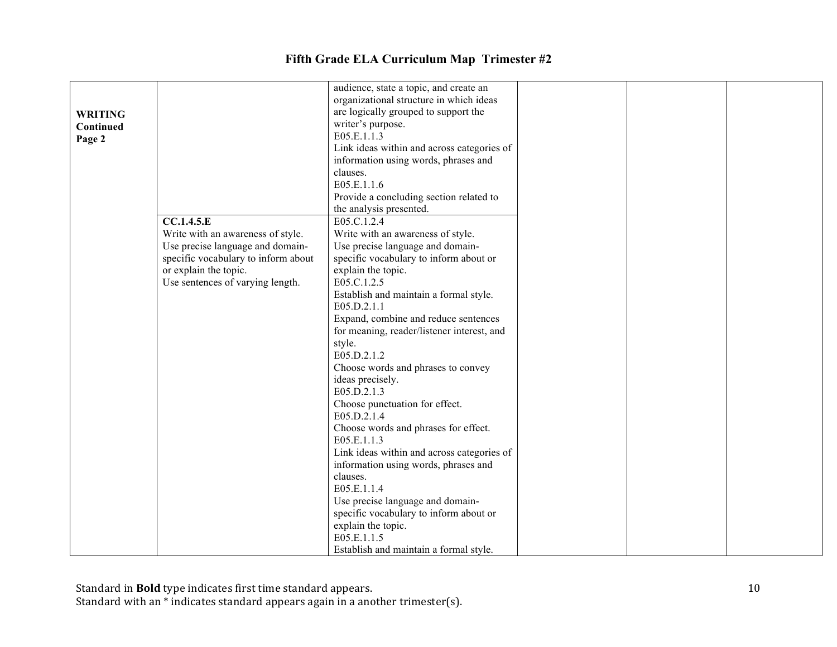|                |                                     | audience, state a topic, and create an     |  |  |
|----------------|-------------------------------------|--------------------------------------------|--|--|
|                |                                     | organizational structure in which ideas    |  |  |
| <b>WRITING</b> |                                     | are logically grouped to support the       |  |  |
| Continued      |                                     | writer's purpose.<br>E05.E.1.1.3           |  |  |
| Page 2         |                                     | Link ideas within and across categories of |  |  |
|                |                                     | information using words, phrases and       |  |  |
|                |                                     | clauses.                                   |  |  |
|                |                                     | E05.E.1.1.6                                |  |  |
|                |                                     | Provide a concluding section related to    |  |  |
|                |                                     | the analysis presented.                    |  |  |
|                | CC.1.4.5.E                          | E05.C.1.2.4                                |  |  |
|                | Write with an awareness of style.   | Write with an awareness of style.          |  |  |
|                | Use precise language and domain-    | Use precise language and domain-           |  |  |
|                | specific vocabulary to inform about | specific vocabulary to inform about or     |  |  |
|                | or explain the topic.               | explain the topic.                         |  |  |
|                | Use sentences of varying length.    | E05.C.1.2.5                                |  |  |
|                |                                     | Establish and maintain a formal style.     |  |  |
|                |                                     | E05.D.2.1.1                                |  |  |
|                |                                     | Expand, combine and reduce sentences       |  |  |
|                |                                     | for meaning, reader/listener interest, and |  |  |
|                |                                     | style.                                     |  |  |
|                |                                     | E05.D.2.1.2                                |  |  |
|                |                                     | Choose words and phrases to convey         |  |  |
|                |                                     | ideas precisely.                           |  |  |
|                |                                     | E05.D.2.1.3                                |  |  |
|                |                                     | Choose punctuation for effect.             |  |  |
|                |                                     | E05.D.2.1.4                                |  |  |
|                |                                     | Choose words and phrases for effect.       |  |  |
|                |                                     | E05.E.1.1.3                                |  |  |
|                |                                     | Link ideas within and across categories of |  |  |
|                |                                     | information using words, phrases and       |  |  |
|                |                                     | clauses.                                   |  |  |
|                |                                     | E05.E.1.1.4                                |  |  |
|                |                                     | Use precise language and domain-           |  |  |
|                |                                     | specific vocabulary to inform about or     |  |  |
|                |                                     | explain the topic.                         |  |  |
|                |                                     | E05.E.1.1.5                                |  |  |
|                |                                     | Establish and maintain a formal style.     |  |  |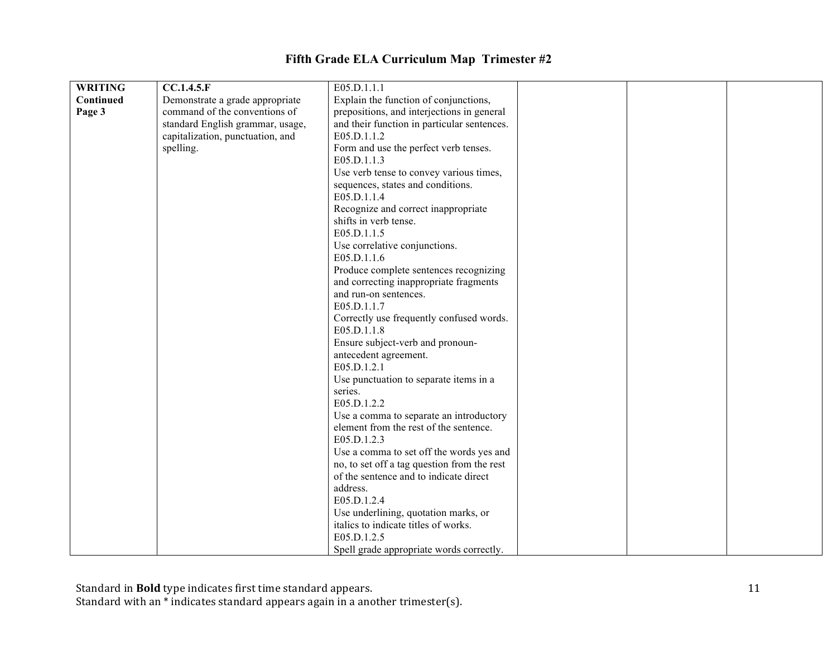| <b>WRITING</b> | CC.1.4.5.F                       | E05.D.1.1.1                                 |
|----------------|----------------------------------|---------------------------------------------|
| Continued      | Demonstrate a grade appropriate  | Explain the function of conjunctions,       |
| Page 3         | command of the conventions of    | prepositions, and interjections in general  |
|                | standard English grammar, usage, | and their function in particular sentences. |
|                | capitalization, punctuation, and | E05.D.1.1.2                                 |
|                | spelling.                        | Form and use the perfect verb tenses.       |
|                |                                  | E05.D.1.1.3                                 |
|                |                                  | Use verb tense to convey various times,     |
|                |                                  | sequences, states and conditions.           |
|                |                                  | E05.D.1.1.4                                 |
|                |                                  | Recognize and correct inappropriate         |
|                |                                  | shifts in verb tense.                       |
|                |                                  | E05.D.1.1.5                                 |
|                |                                  | Use correlative conjunctions.               |
|                |                                  | E05.D.1.1.6                                 |
|                |                                  | Produce complete sentences recognizing      |
|                |                                  | and correcting inappropriate fragments      |
|                |                                  | and run-on sentences.                       |
|                |                                  | E05.D.1.1.7                                 |
|                |                                  | Correctly use frequently confused words.    |
|                |                                  | E05.D.1.1.8                                 |
|                |                                  | Ensure subject-verb and pronoun-            |
|                |                                  | antecedent agreement.                       |
|                |                                  | E05.D.1.2.1                                 |
|                |                                  | Use punctuation to separate items in a      |
|                |                                  | series.                                     |
|                |                                  | E05.D.1.2.2                                 |
|                |                                  | Use a comma to separate an introductory     |
|                |                                  | element from the rest of the sentence.      |
|                |                                  | E05.D.1.2.3                                 |
|                |                                  | Use a comma to set off the words yes and    |
|                |                                  | no, to set off a tag question from the rest |
|                |                                  | of the sentence and to indicate direct      |
|                |                                  | address.                                    |
|                |                                  | E05.D.1.2.4                                 |
|                |                                  | Use underlining, quotation marks, or        |
|                |                                  | italics to indicate titles of works.        |
|                |                                  | E05.D.1.2.5                                 |
|                |                                  | Spell grade appropriate words correctly.    |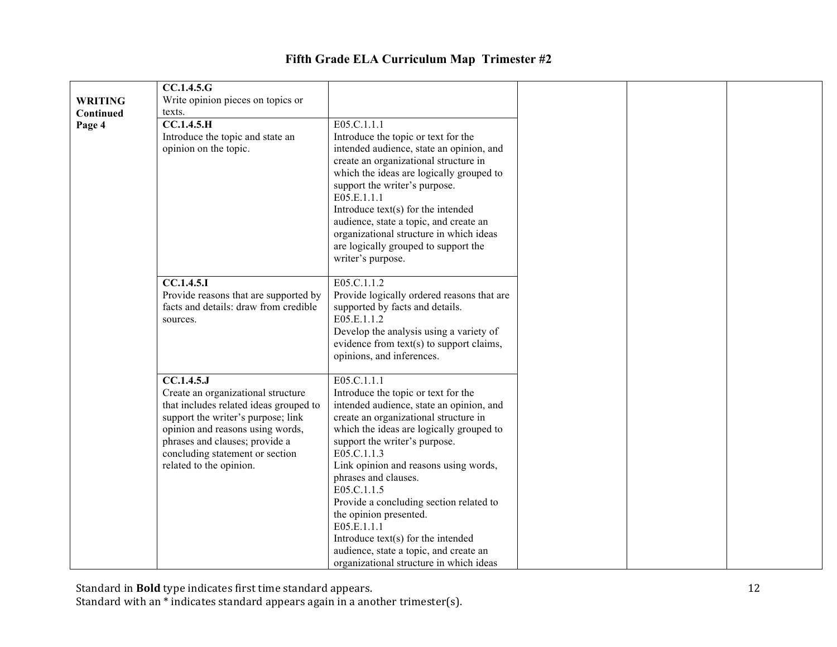|                | <b>CC.1.4.5.G</b>                                          |                                                                                   |
|----------------|------------------------------------------------------------|-----------------------------------------------------------------------------------|
| <b>WRITING</b> | Write opinion pieces on topics or                          |                                                                                   |
| Continued      | texts.                                                     |                                                                                   |
| Page 4         | CC.1.4.5.H                                                 | E05.C.1.1.1                                                                       |
|                | Introduce the topic and state an                           | Introduce the topic or text for the                                               |
|                | opinion on the topic.                                      | intended audience, state an opinion, and                                          |
|                |                                                            | create an organizational structure in<br>which the ideas are logically grouped to |
|                |                                                            | support the writer's purpose.                                                     |
|                |                                                            | E05.E.1.1.1                                                                       |
|                |                                                            | Introduce text(s) for the intended                                                |
|                |                                                            | audience, state a topic, and create an                                            |
|                |                                                            | organizational structure in which ideas                                           |
|                |                                                            | are logically grouped to support the                                              |
|                |                                                            | writer's purpose.                                                                 |
|                |                                                            |                                                                                   |
|                | $\overline{CC.1.4.5.1}$                                    | E05.C.1.1.2                                                                       |
|                | Provide reasons that are supported by                      | Provide logically ordered reasons that are                                        |
|                | facts and details: draw from credible                      | supported by facts and details.<br>E05.E.1.1.2                                    |
|                | sources.                                                   | Develop the analysis using a variety of                                           |
|                |                                                            | evidence from text(s) to support claims,                                          |
|                |                                                            | opinions, and inferences.                                                         |
|                |                                                            |                                                                                   |
|                | CC.1.4.5J                                                  | E05.C.1.1.1                                                                       |
|                | Create an organizational structure                         | Introduce the topic or text for the                                               |
|                | that includes related ideas grouped to                     | intended audience, state an opinion, and                                          |
|                | support the writer's purpose; link                         | create an organizational structure in                                             |
|                | opinion and reasons using words,                           | which the ideas are logically grouped to                                          |
|                | phrases and clauses; provide a                             | support the writer's purpose.                                                     |
|                | concluding statement or section<br>related to the opinion. | E05.C.1.1.3<br>Link opinion and reasons using words,                              |
|                |                                                            | phrases and clauses.                                                              |
|                |                                                            | E05.C.1.1.5                                                                       |
|                |                                                            | Provide a concluding section related to                                           |
|                |                                                            | the opinion presented.                                                            |
|                |                                                            | E05.E.1.1.1                                                                       |
|                |                                                            | Introduce text(s) for the intended                                                |
|                |                                                            | audience, state a topic, and create an                                            |
|                |                                                            | organizational structure in which ideas                                           |

Standard in **Bold** type indicates first time standard appears.

Standard with an \* indicates standard appears again in a another trimester(s).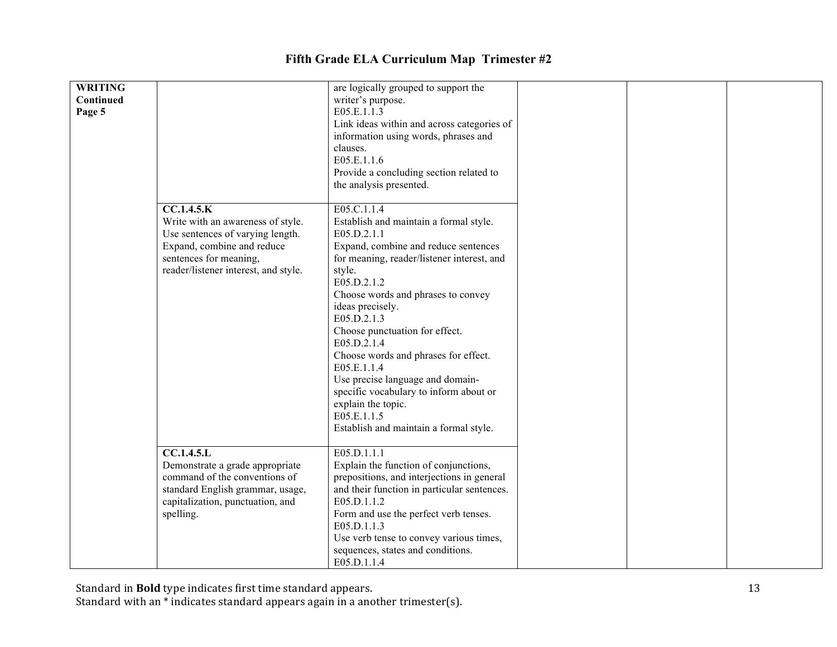| <b>WRITING</b> |                                      | are logically grouped to support the        |
|----------------|--------------------------------------|---------------------------------------------|
| Continued      |                                      | writer's purpose.                           |
| Page 5         |                                      | E05.E.1.1.3                                 |
|                |                                      | Link ideas within and across categories of  |
|                |                                      | information using words, phrases and        |
|                |                                      | clauses.                                    |
|                |                                      | E05.E.1.1.6                                 |
|                |                                      | Provide a concluding section related to     |
|                |                                      | the analysis presented.                     |
|                |                                      |                                             |
|                | CC.1.4.5.K                           | E05.C.1.1.4                                 |
|                | Write with an awareness of style.    | Establish and maintain a formal style.      |
|                |                                      |                                             |
|                | Use sentences of varying length.     | E05.D.2.1.1                                 |
|                | Expand, combine and reduce           | Expand, combine and reduce sentences        |
|                | sentences for meaning,               | for meaning, reader/listener interest, and  |
|                | reader/listener interest, and style. | style.                                      |
|                |                                      | E05.D.2.1.2                                 |
|                |                                      | Choose words and phrases to convey          |
|                |                                      | ideas precisely.                            |
|                |                                      | E05.D.2.1.3                                 |
|                |                                      | Choose punctuation for effect.              |
|                |                                      | E05.D.2.1.4                                 |
|                |                                      | Choose words and phrases for effect.        |
|                |                                      | E05.E.1.1.4                                 |
|                |                                      | Use precise language and domain-            |
|                |                                      |                                             |
|                |                                      | specific vocabulary to inform about or      |
|                |                                      | explain the topic.                          |
|                |                                      | E05.E.1.1.5                                 |
|                |                                      | Establish and maintain a formal style.      |
|                |                                      |                                             |
|                | <b>CC.1.4.5.L</b>                    | E05.D.1.1.1                                 |
|                | Demonstrate a grade appropriate      | Explain the function of conjunctions,       |
|                | command of the conventions of        | prepositions, and interjections in general  |
|                | standard English grammar, usage,     | and their function in particular sentences. |
|                | capitalization, punctuation, and     | E05.D.1.1.2                                 |
|                | spelling.                            | Form and use the perfect verb tenses.       |
|                |                                      | E05.D.1.1.3                                 |
|                |                                      | Use verb tense to convey various times,     |
|                |                                      |                                             |
|                |                                      | sequences, states and conditions.           |
|                |                                      | E05.D.1.1.4                                 |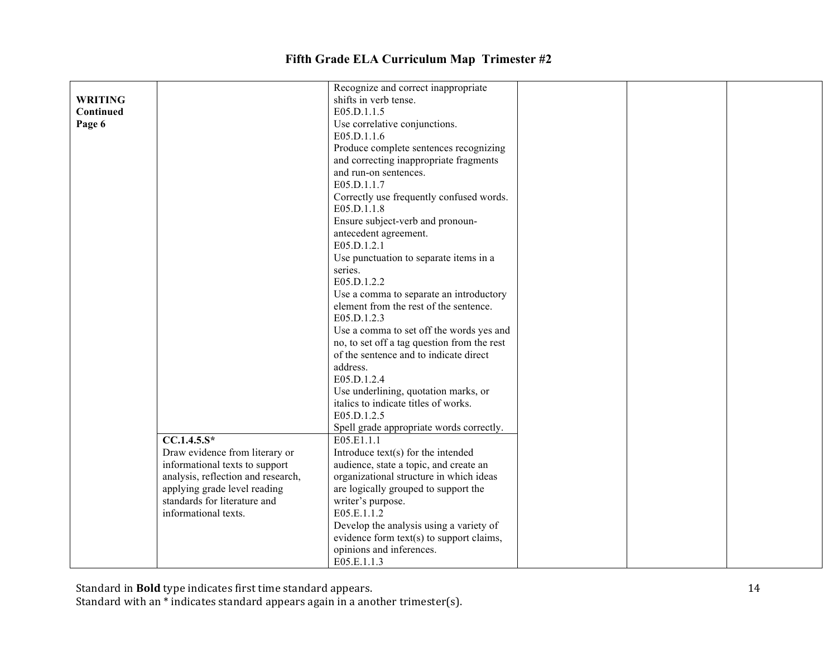|                |                                    | Recognize and correct inappropriate         |  |  |
|----------------|------------------------------------|---------------------------------------------|--|--|
| <b>WRITING</b> |                                    | shifts in verb tense.                       |  |  |
| Continued      |                                    | E05.D.1.1.5                                 |  |  |
| Page 6         |                                    | Use correlative conjunctions.               |  |  |
|                |                                    | E05.D.1.1.6                                 |  |  |
|                |                                    | Produce complete sentences recognizing      |  |  |
|                |                                    | and correcting inappropriate fragments      |  |  |
|                |                                    | and run-on sentences.                       |  |  |
|                |                                    | E05.D.1.1.7                                 |  |  |
|                |                                    | Correctly use frequently confused words.    |  |  |
|                |                                    | E05.D.1.1.8                                 |  |  |
|                |                                    | Ensure subject-verb and pronoun-            |  |  |
|                |                                    | antecedent agreement.                       |  |  |
|                |                                    | E05.D.1.2.1                                 |  |  |
|                |                                    | Use punctuation to separate items in a      |  |  |
|                |                                    | series.                                     |  |  |
|                |                                    | E05.D.1.2.2                                 |  |  |
|                |                                    | Use a comma to separate an introductory     |  |  |
|                |                                    | element from the rest of the sentence.      |  |  |
|                |                                    | E05.D.1.2.3                                 |  |  |
|                |                                    | Use a comma to set off the words yes and    |  |  |
|                |                                    | no, to set off a tag question from the rest |  |  |
|                |                                    | of the sentence and to indicate direct      |  |  |
|                |                                    | address.                                    |  |  |
|                |                                    | E05.D.1.2.4                                 |  |  |
|                |                                    | Use underlining, quotation marks, or        |  |  |
|                |                                    | italics to indicate titles of works.        |  |  |
|                |                                    | E05.D.1.2.5                                 |  |  |
|                |                                    | Spell grade appropriate words correctly.    |  |  |
|                | $CC.1.4.5.S*$                      | E05.E1.1.1                                  |  |  |
|                | Draw evidence from literary or     | Introduce text(s) for the intended          |  |  |
|                | informational texts to support     | audience, state a topic, and create an      |  |  |
|                | analysis, reflection and research, | organizational structure in which ideas     |  |  |
|                | applying grade level reading       | are logically grouped to support the        |  |  |
|                | standards for literature and       | writer's purpose.                           |  |  |
|                | informational texts.               | E05.E.1.1.2                                 |  |  |
|                |                                    | Develop the analysis using a variety of     |  |  |
|                |                                    | evidence form text(s) to support claims,    |  |  |
|                |                                    | opinions and inferences.                    |  |  |
|                |                                    | E05.E.1.1.3                                 |  |  |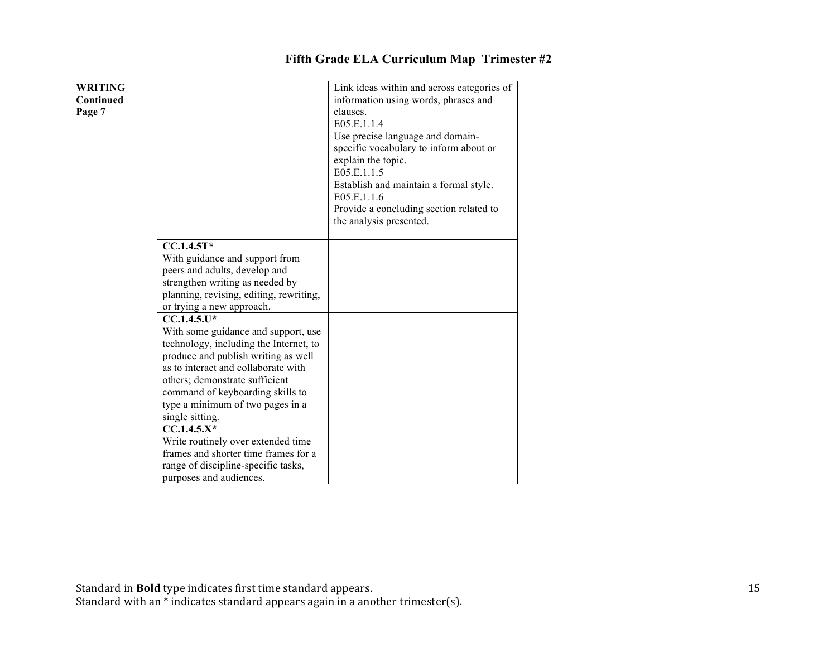| <b>WRITING</b> |                                         | Link ideas within and across categories of |
|----------------|-----------------------------------------|--------------------------------------------|
| Continued      |                                         | information using words, phrases and       |
| Page 7         |                                         | clauses.                                   |
|                |                                         | E05.E.1.1.4                                |
|                |                                         | Use precise language and domain-           |
|                |                                         | specific vocabulary to inform about or     |
|                |                                         | explain the topic.                         |
|                |                                         | E05.E.1.1.5                                |
|                |                                         | Establish and maintain a formal style.     |
|                |                                         | E05.E.1.1.6                                |
|                |                                         | Provide a concluding section related to    |
|                |                                         | the analysis presented.                    |
|                |                                         |                                            |
|                | $CC.1.4.5T*$                            |                                            |
|                | With guidance and support from          |                                            |
|                | peers and adults, develop and           |                                            |
|                | strengthen writing as needed by         |                                            |
|                | planning, revising, editing, rewriting, |                                            |
|                | or trying a new approach.               |                                            |
|                | $CC.1.4.5.U*$                           |                                            |
|                | With some guidance and support, use     |                                            |
|                | technology, including the Internet, to  |                                            |
|                | produce and publish writing as well     |                                            |
|                | as to interact and collaborate with     |                                            |
|                | others; demonstrate sufficient          |                                            |
|                | command of keyboarding skills to        |                                            |
|                | type a minimum of two pages in a        |                                            |
|                | single sitting.                         |                                            |
|                | $CC.1.4.5.X*$                           |                                            |
|                | Write routinely over extended time      |                                            |
|                | frames and shorter time frames for a    |                                            |
|                | range of discipline-specific tasks,     |                                            |
|                | purposes and audiences.                 |                                            |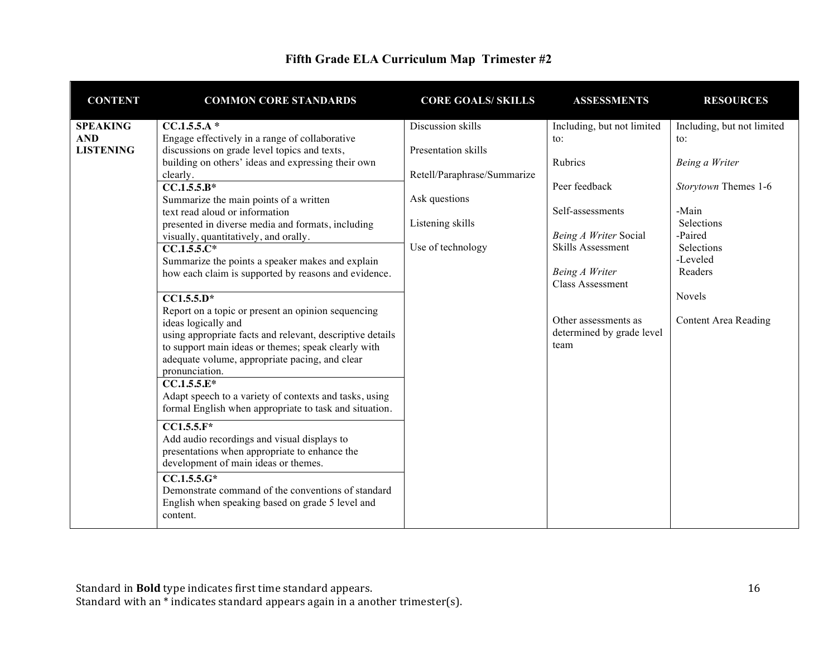| <b>CONTENT</b>                                    | <b>COMMON CORE STANDARDS</b>                                                                                                                                                                                                                                                                                                                                                                                                                                                                                                                                                                                                                                                                                                                                                                                                                                                                                                                                                                                                                                                                                                                                                                                                                 | <b>CORE GOALS/ SKILLS</b>                                                                                                         | <b>ASSESSMENTS</b>                                                                                                                                                                                                                        | <b>RESOURCES</b>                                                                                                                                                                                  |
|---------------------------------------------------|----------------------------------------------------------------------------------------------------------------------------------------------------------------------------------------------------------------------------------------------------------------------------------------------------------------------------------------------------------------------------------------------------------------------------------------------------------------------------------------------------------------------------------------------------------------------------------------------------------------------------------------------------------------------------------------------------------------------------------------------------------------------------------------------------------------------------------------------------------------------------------------------------------------------------------------------------------------------------------------------------------------------------------------------------------------------------------------------------------------------------------------------------------------------------------------------------------------------------------------------|-----------------------------------------------------------------------------------------------------------------------------------|-------------------------------------------------------------------------------------------------------------------------------------------------------------------------------------------------------------------------------------------|---------------------------------------------------------------------------------------------------------------------------------------------------------------------------------------------------|
| <b>SPEAKING</b><br><b>AND</b><br><b>LISTENING</b> | CC.1.5.5.A*<br>Engage effectively in a range of collaborative<br>discussions on grade level topics and texts,<br>building on others' ideas and expressing their own<br>clearly.<br>$CC.1.5.5.B*$<br>Summarize the main points of a written<br>text read aloud or information<br>presented in diverse media and formats, including<br>visually, quantitatively, and orally.<br>$CC.1.5.5.C*$<br>Summarize the points a speaker makes and explain<br>how each claim is supported by reasons and evidence.<br>$\overline{CC1.5.5.D^*}$<br>Report on a topic or present an opinion sequencing<br>ideas logically and<br>using appropriate facts and relevant, descriptive details<br>to support main ideas or themes; speak clearly with<br>adequate volume, appropriate pacing, and clear<br>pronunciation.<br>$CC.1.5.5.E*$<br>Adapt speech to a variety of contexts and tasks, using<br>formal English when appropriate to task and situation.<br>$CC1.5.5.F*$<br>Add audio recordings and visual displays to<br>presentations when appropriate to enhance the<br>development of main ideas or themes.<br>$CC.1.5.5.6*$<br>Demonstrate command of the conventions of standard<br>English when speaking based on grade 5 level and<br>content. | Discussion skills<br>Presentation skills<br>Retell/Paraphrase/Summarize<br>Ask questions<br>Listening skills<br>Use of technology | Including, but not limited<br>to:<br>Rubrics<br>Peer feedback<br>Self-assessments<br>Being A Writer Social<br>Skills Assessment<br>Being A Writer<br><b>Class Assessment</b><br>Other assessments as<br>determined by grade level<br>team | Including, but not limited<br>$\mathfrak{t}$ .<br>Being a Writer<br>Storytown Themes 1-6<br>-Main<br>Selections<br>-Paired<br>Selections<br>-Leveled<br>Readers<br>Novels<br>Content Area Reading |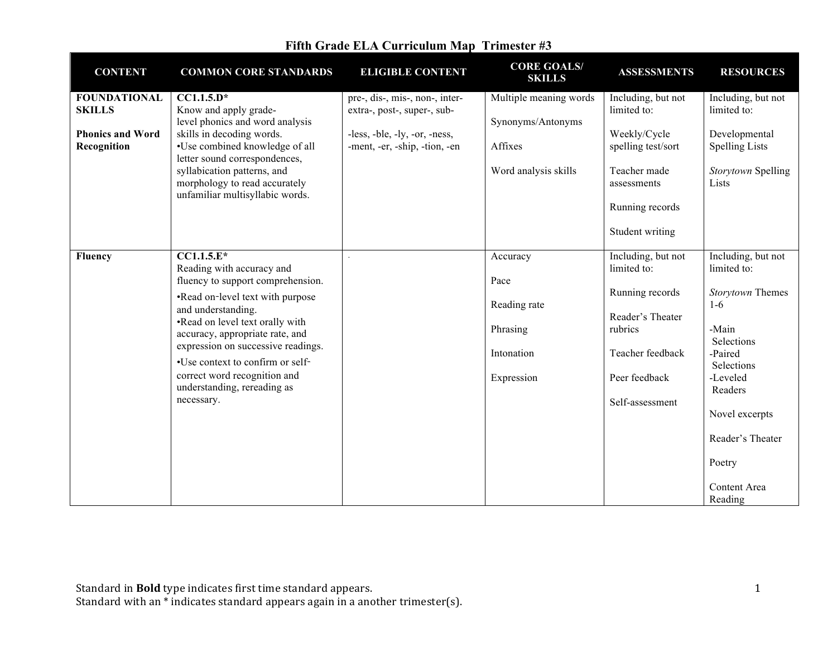| <b>CONTENT</b>                         | <b>COMMON CORE STANDARDS</b>                                                                    | <b>ELIGIBLE CONTENT</b>                                        | <b>CORE GOALS/</b><br><b>SKILLS</b>         | <b>ASSESSMENTS</b>                 | <b>RESOURCES</b>                       |
|----------------------------------------|-------------------------------------------------------------------------------------------------|----------------------------------------------------------------|---------------------------------------------|------------------------------------|----------------------------------------|
| <b>FOUNDATIONAL</b><br><b>SKILLS</b>   | $CC1.1.5.D*$<br>Know and apply grade-<br>level phonics and word analysis                        | pre-, dis-, mis-, non-, inter-<br>extra-, post-, super-, sub-  | Multiple meaning words<br>Synonyms/Antonyms | Including, but not<br>limited to:  | Including, but not<br>limited to:      |
| <b>Phonics and Word</b><br>Recognition | skills in decoding words.<br>•Use combined knowledge of all<br>letter sound correspondences,    | -less, -ble, -ly, -or, -ness,<br>-ment, -er, -ship, -tion, -en | Affixes                                     | Weekly/Cycle<br>spelling test/sort | Developmental<br><b>Spelling Lists</b> |
|                                        | syllabication patterns, and<br>morphology to read accurately<br>unfamiliar multisyllabic words. |                                                                | Word analysis skills                        | Teacher made<br>assessments        | Storytown Spelling<br>Lists            |
|                                        |                                                                                                 |                                                                |                                             | Running records<br>Student writing |                                        |
| <b>Fluency</b>                         | $CCI.1.5.E*$<br>Reading with accuracy and                                                       |                                                                | Accuracy                                    | Including, but not<br>limited to:  | Including, but not<br>limited to:      |
|                                        | fluency to support comprehension.                                                               |                                                                | Pace                                        |                                    |                                        |
|                                        | •Read on-level text with purpose<br>and understanding.                                          |                                                                | Reading rate                                | Running records                    | Storytown Themes<br>$1-6$              |
|                                        | •Read on level text orally with<br>accuracy, appropriate rate, and                              |                                                                | Phrasing                                    | Reader's Theater<br>rubrics        | -Main<br>Selections                    |
|                                        | expression on successive readings.<br>•Use context to confirm or self-                          |                                                                | Intonation                                  | Teacher feedback                   | -Paired<br>Selections                  |
|                                        | correct word recognition and<br>understanding, rereading as                                     |                                                                | Expression                                  | Peer feedback                      | -Leveled<br>Readers                    |
|                                        | necessary.                                                                                      |                                                                |                                             | Self-assessment                    | Novel excerpts                         |
|                                        |                                                                                                 |                                                                |                                             |                                    | Reader's Theater                       |
|                                        |                                                                                                 |                                                                |                                             |                                    | Poetry                                 |
|                                        |                                                                                                 |                                                                |                                             |                                    | Content Area<br>Reading                |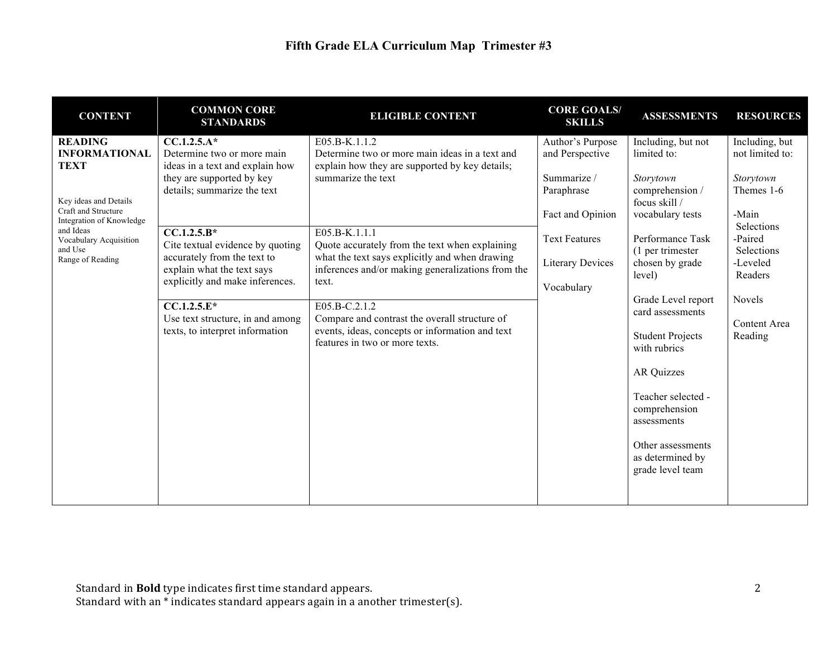| <b>CONTENT</b>                                                                                                                                                                                          | <b>COMMON CORE</b><br><b>STANDARDS</b>                                                                                                                                                                                                                                                                                                                                                  | <b>ELIGIBLE CONTENT</b>                                                                                                                                                                                                                                                                                                                                                                                                                                                             | <b>CORE GOALS/</b><br><b>SKILLS</b>                                                                                                                   | <b>ASSESSMENTS</b>                                                                                                                                                                                                                                                                                                                                                                                        | <b>RESOURCES</b>                                                                                                                                                         |
|---------------------------------------------------------------------------------------------------------------------------------------------------------------------------------------------------------|-----------------------------------------------------------------------------------------------------------------------------------------------------------------------------------------------------------------------------------------------------------------------------------------------------------------------------------------------------------------------------------------|-------------------------------------------------------------------------------------------------------------------------------------------------------------------------------------------------------------------------------------------------------------------------------------------------------------------------------------------------------------------------------------------------------------------------------------------------------------------------------------|-------------------------------------------------------------------------------------------------------------------------------------------------------|-----------------------------------------------------------------------------------------------------------------------------------------------------------------------------------------------------------------------------------------------------------------------------------------------------------------------------------------------------------------------------------------------------------|--------------------------------------------------------------------------------------------------------------------------------------------------------------------------|
| <b>READING</b><br><b>INFORMATIONAL</b><br><b>TEXT</b><br>Key ideas and Details<br>Craft and Structure<br>Integration of Knowledge<br>and Ideas<br>Vocabulary Acquisition<br>and Use<br>Range of Reading | $CC.1.2.5.A*$<br>Determine two or more main<br>ideas in a text and explain how<br>they are supported by key<br>details; summarize the text<br>$CC.1.2.5.B*$<br>Cite textual evidence by quoting<br>accurately from the text to<br>explain what the text says<br>explicitly and make inferences.<br>$CC.1.2.5.E*$<br>Use text structure, in and among<br>texts, to interpret information | E05.B-K.1.1.2<br>Determine two or more main ideas in a text and<br>explain how they are supported by key details;<br>summarize the text<br>$E05.B-K.1.1.1$<br>Quote accurately from the text when explaining<br>what the text says explicitly and when drawing<br>inferences and/or making generalizations from the<br>text.<br>E05.B-C.2.1.2<br>Compare and contrast the overall structure of<br>events, ideas, concepts or information and text<br>features in two or more texts. | Author's Purpose<br>and Perspective<br>Summarize /<br>Paraphrase<br>Fact and Opinion<br><b>Text Features</b><br><b>Literary Devices</b><br>Vocabulary | Including, but not<br>limited to:<br>Storytown<br>comprehension /<br>focus skill /<br>vocabulary tests<br>Performance Task<br>(1 per trimester)<br>chosen by grade<br>level)<br>Grade Level report<br>card assessments<br><b>Student Projects</b><br>with rubrics<br><b>AR Quizzes</b><br>Teacher selected -<br>comprehension<br>assessments<br>Other assessments<br>as determined by<br>grade level team | Including, but<br>not limited to:<br>Storytown<br>Themes 1-6<br>-Main<br>Selections<br>-Paired<br>Selections<br>-Leveled<br>Readers<br>Novels<br>Content Area<br>Reading |
|                                                                                                                                                                                                         |                                                                                                                                                                                                                                                                                                                                                                                         |                                                                                                                                                                                                                                                                                                                                                                                                                                                                                     |                                                                                                                                                       |                                                                                                                                                                                                                                                                                                                                                                                                           |                                                                                                                                                                          |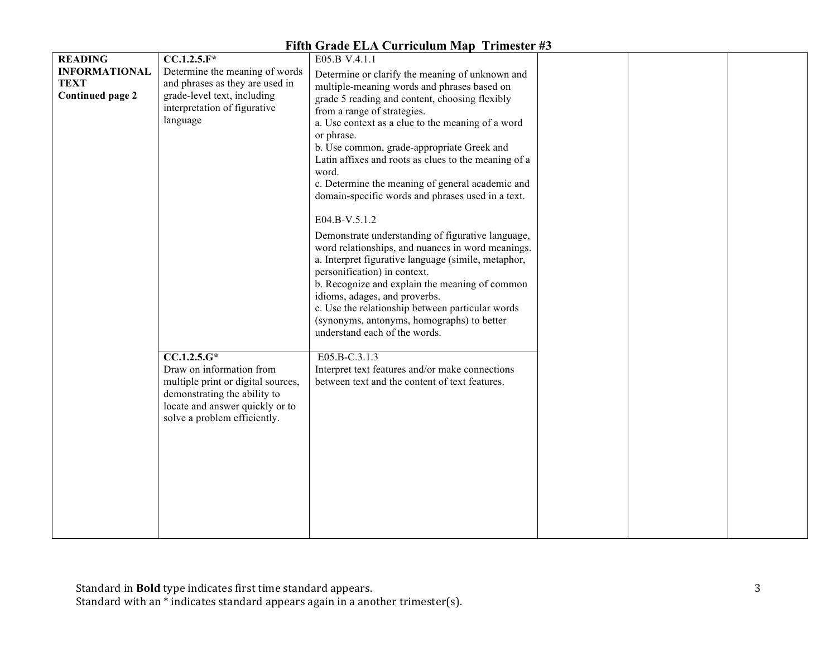| <b>READING</b>          | $CC.1.2.5.F*$                      | E05.B-V.4.1.1                                        |  |  |
|-------------------------|------------------------------------|------------------------------------------------------|--|--|
| <b>INFORMATIONAL</b>    | Determine the meaning of words     | Determine or clarify the meaning of unknown and      |  |  |
| <b>TEXT</b>             | and phrases as they are used in    | multiple-meaning words and phrases based on          |  |  |
| <b>Continued page 2</b> | grade-level text, including        | grade 5 reading and content, choosing flexibly       |  |  |
|                         | interpretation of figurative       | from a range of strategies.                          |  |  |
|                         | language                           | a. Use context as a clue to the meaning of a word    |  |  |
|                         |                                    | or phrase.                                           |  |  |
|                         |                                    | b. Use common, grade-appropriate Greek and           |  |  |
|                         |                                    | Latin affixes and roots as clues to the meaning of a |  |  |
|                         |                                    | word.                                                |  |  |
|                         |                                    | c. Determine the meaning of general academic and     |  |  |
|                         |                                    | domain-specific words and phrases used in a text.    |  |  |
|                         |                                    |                                                      |  |  |
|                         |                                    | E04.B-V.5.1.2                                        |  |  |
|                         |                                    |                                                      |  |  |
|                         |                                    | Demonstrate understanding of figurative language,    |  |  |
|                         |                                    | word relationships, and nuances in word meanings.    |  |  |
|                         |                                    | a. Interpret figurative language (simile, metaphor,  |  |  |
|                         |                                    | personification) in context.                         |  |  |
|                         |                                    | b. Recognize and explain the meaning of common       |  |  |
|                         |                                    | idioms, adages, and proverbs.                        |  |  |
|                         |                                    | c. Use the relationship between particular words     |  |  |
|                         |                                    | (synonyms, antonyms, homographs) to better           |  |  |
|                         |                                    | understand each of the words.                        |  |  |
|                         | $CC.1.2.5.G*$                      | E05.B-C.3.1.3                                        |  |  |
|                         | Draw on information from           | Interpret text features and/or make connections      |  |  |
|                         | multiple print or digital sources, | between text and the content of text features.       |  |  |
|                         | demonstrating the ability to       |                                                      |  |  |
|                         | locate and answer quickly or to    |                                                      |  |  |
|                         | solve a problem efficiently.       |                                                      |  |  |
|                         |                                    |                                                      |  |  |
|                         |                                    |                                                      |  |  |
|                         |                                    |                                                      |  |  |
|                         |                                    |                                                      |  |  |
|                         |                                    |                                                      |  |  |
|                         |                                    |                                                      |  |  |
|                         |                                    |                                                      |  |  |
|                         |                                    |                                                      |  |  |
|                         |                                    |                                                      |  |  |
|                         |                                    |                                                      |  |  |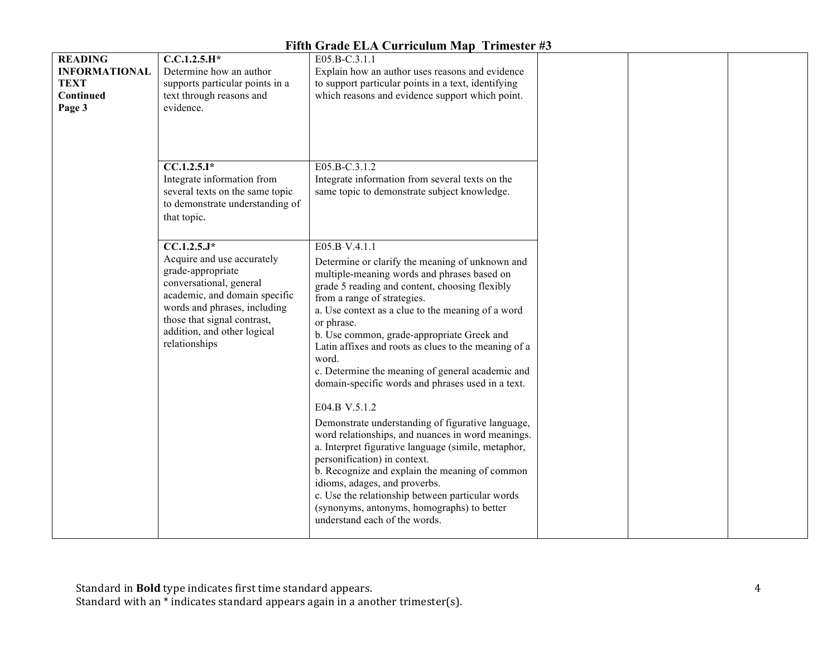|                                                                              |                                                                                                                                                                                                                                             | $\frac{1}{2}$                                                                                                                                                                                                                                                                                                                                                                                                                                                                                                                                                                                                                                                                                                                                                                                                                                                                                                                       |  |
|------------------------------------------------------------------------------|---------------------------------------------------------------------------------------------------------------------------------------------------------------------------------------------------------------------------------------------|-------------------------------------------------------------------------------------------------------------------------------------------------------------------------------------------------------------------------------------------------------------------------------------------------------------------------------------------------------------------------------------------------------------------------------------------------------------------------------------------------------------------------------------------------------------------------------------------------------------------------------------------------------------------------------------------------------------------------------------------------------------------------------------------------------------------------------------------------------------------------------------------------------------------------------------|--|
| <b>READING</b><br><b>INFORMATIONAL</b><br><b>TEXT</b><br>Continued<br>Page 3 | $C.C.1.2.5.H*$<br>Determine how an author<br>supports particular points in a<br>text through reasons and<br>evidence.                                                                                                                       | E05.B-C.3.1.1<br>Explain how an author uses reasons and evidence<br>to support particular points in a text, identifying<br>which reasons and evidence support which point.                                                                                                                                                                                                                                                                                                                                                                                                                                                                                                                                                                                                                                                                                                                                                          |  |
|                                                                              | $CC.1.2.5.I*$<br>Integrate information from<br>several texts on the same topic<br>to demonstrate understanding of<br>that topic.                                                                                                            | E05.B-C.3.1.2<br>Integrate information from several texts on the<br>same topic to demonstrate subject knowledge.                                                                                                                                                                                                                                                                                                                                                                                                                                                                                                                                                                                                                                                                                                                                                                                                                    |  |
|                                                                              | $CC.1.2.5.J*$<br>Acquire and use accurately<br>grade-appropriate<br>conversational, general<br>academic, and domain specific<br>words and phrases, including<br>those that signal contrast,<br>addition, and other logical<br>relationships | E05.B-V.4.1.1<br>Determine or clarify the meaning of unknown and<br>multiple-meaning words and phrases based on<br>grade 5 reading and content, choosing flexibly<br>from a range of strategies.<br>a. Use context as a clue to the meaning of a word<br>or phrase.<br>b. Use common, grade-appropriate Greek and<br>Latin affixes and roots as clues to the meaning of a<br>word.<br>c. Determine the meaning of general academic and<br>domain-specific words and phrases used in a text.<br>E04.B-V.5.1.2<br>Demonstrate understanding of figurative language,<br>word relationships, and nuances in word meanings.<br>a. Interpret figurative language (simile, metaphor,<br>personification) in context.<br>b. Recognize and explain the meaning of common<br>idioms, adages, and proverbs.<br>c. Use the relationship between particular words<br>(synonyms, antonyms, homographs) to better<br>understand each of the words. |  |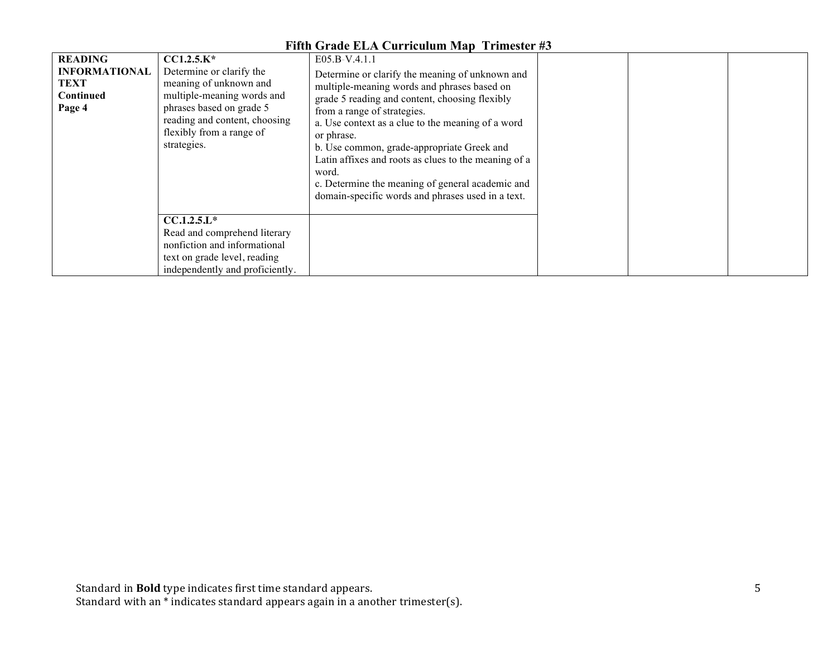| 1 п.н. этаас 227 сагнсалан мар - 11 нояст 80                                 |                                                                                                                                                                                                          |                                                                                                                                                                                                                                                                                                                                                                                                                                                                                             |  |  |
|------------------------------------------------------------------------------|----------------------------------------------------------------------------------------------------------------------------------------------------------------------------------------------------------|---------------------------------------------------------------------------------------------------------------------------------------------------------------------------------------------------------------------------------------------------------------------------------------------------------------------------------------------------------------------------------------------------------------------------------------------------------------------------------------------|--|--|
| <b>READING</b><br><b>INFORMATIONAL</b><br><b>TEXT</b><br>Continued<br>Page 4 | $CCI.2.5.K*$<br>Determine or clarify the<br>meaning of unknown and<br>multiple-meaning words and<br>phrases based on grade 5<br>reading and content, choosing<br>flexibly from a range of<br>strategies. | E05.B-V.4.1.1<br>Determine or clarify the meaning of unknown and<br>multiple-meaning words and phrases based on<br>grade 5 reading and content, choosing flexibly<br>from a range of strategies.<br>a. Use context as a clue to the meaning of a word<br>or phrase.<br>b. Use common, grade-appropriate Greek and<br>Latin affixes and roots as clues to the meaning of a<br>word.<br>c. Determine the meaning of general academic and<br>domain-specific words and phrases used in a text. |  |  |
|                                                                              | $CCA.2.5.L*$<br>Read and comprehend literary<br>nonfiction and informational<br>text on grade level, reading<br>independently and proficiently.                                                          |                                                                                                                                                                                                                                                                                                                                                                                                                                                                                             |  |  |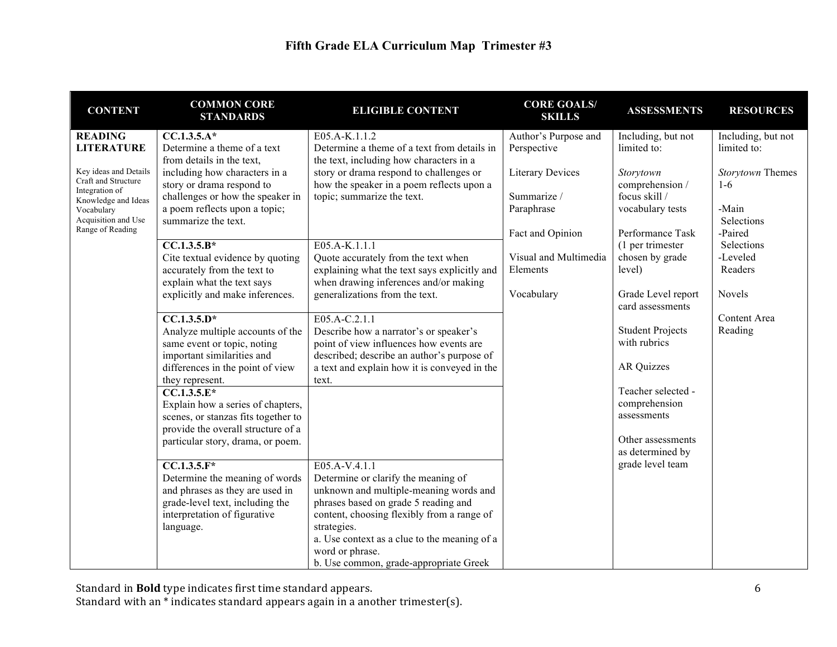| <b>CONTENT</b>                                                                        | <b>COMMON CORE</b><br><b>STANDARDS</b>                                                                                                                             | <b>ELIGIBLE CONTENT</b>                                                                                                                                                                                                                                                                                          | <b>CORE GOALS/</b><br><b>SKILLS</b>    | <b>ASSESSMENTS</b>                                 | <b>RESOURCES</b>                  |
|---------------------------------------------------------------------------------------|--------------------------------------------------------------------------------------------------------------------------------------------------------------------|------------------------------------------------------------------------------------------------------------------------------------------------------------------------------------------------------------------------------------------------------------------------------------------------------------------|----------------------------------------|----------------------------------------------------|-----------------------------------|
| <b>READING</b><br><b>LITERATURE</b>                                                   | $CC.1.3.5.A*$<br>Determine a theme of a text<br>from details in the text,                                                                                          | E05.A-K.1.1.2<br>Determine a theme of a text from details in<br>the text, including how characters in a                                                                                                                                                                                                          | Author's Purpose and<br>Perspective    | Including, but not<br>limited to:                  | Including, but not<br>limited to: |
| Key ideas and Details<br>Craft and Structure<br>Integration of<br>Knowledge and Ideas | including how characters in a<br>story or drama respond to<br>challenges or how the speaker in                                                                     | story or drama respond to challenges or<br>how the speaker in a poem reflects upon a<br>topic; summarize the text.                                                                                                                                                                                               | <b>Literary Devices</b><br>Summarize / | Storytown<br>comprehension /<br>focus skill /      | Storytown Themes<br>$1-6$         |
| Vocabulary<br>Acquisition and Use<br>Range of Reading                                 | a poem reflects upon a topic;<br>summarize the text.                                                                                                               |                                                                                                                                                                                                                                                                                                                  | Paraphrase<br>Fact and Opinion         | vocabulary tests<br>Performance Task               | -Main<br>Selections<br>-Paired    |
|                                                                                       | $CC.1.3.5.B*$<br>Cite textual evidence by quoting<br>accurately from the text to                                                                                   | E05.A-K.1.1.1<br>Quote accurately from the text when<br>explaining what the text says explicitly and                                                                                                                                                                                                             | Visual and Multimedia<br>Elements      | (1 per trimester)<br>chosen by grade<br>level)     | Selections<br>-Leveled<br>Readers |
|                                                                                       | explain what the text says<br>explicitly and make inferences.                                                                                                      | when drawing inferences and/or making<br>generalizations from the text.                                                                                                                                                                                                                                          | Vocabulary                             | Grade Level report<br>card assessments             | Novels                            |
|                                                                                       | $\overline{CC.1.3.5.D^*}$<br>Analyze multiple accounts of the<br>same event or topic, noting<br>important similarities and                                         | E05.A-C.2.1.1<br>Describe how a narrator's or speaker's<br>point of view influences how events are<br>described; describe an author's purpose of                                                                                                                                                                 |                                        | <b>Student Projects</b><br>with rubrics            | Content Area<br>Reading           |
|                                                                                       | differences in the point of view<br>they represent.                                                                                                                | a text and explain how it is conveyed in the<br>text.                                                                                                                                                                                                                                                            |                                        | AR Quizzes                                         |                                   |
|                                                                                       | $CC.1.3.5.E*$<br>Explain how a series of chapters,<br>scenes, or stanzas fits together to<br>provide the overall structure of a                                    |                                                                                                                                                                                                                                                                                                                  |                                        | Teacher selected -<br>comprehension<br>assessments |                                   |
|                                                                                       | particular story, drama, or poem.                                                                                                                                  |                                                                                                                                                                                                                                                                                                                  |                                        | Other assessments<br>as determined by              |                                   |
|                                                                                       | $CC.1.3.5.F*$<br>Determine the meaning of words<br>and phrases as they are used in<br>grade-level text, including the<br>interpretation of figurative<br>language. | E05.A-V.4.1.1<br>Determine or clarify the meaning of<br>unknown and multiple-meaning words and<br>phrases based on grade 5 reading and<br>content, choosing flexibly from a range of<br>strategies.<br>a. Use context as a clue to the meaning of a<br>word or phrase.<br>b. Use common, grade-appropriate Greek |                                        | grade level team                                   |                                   |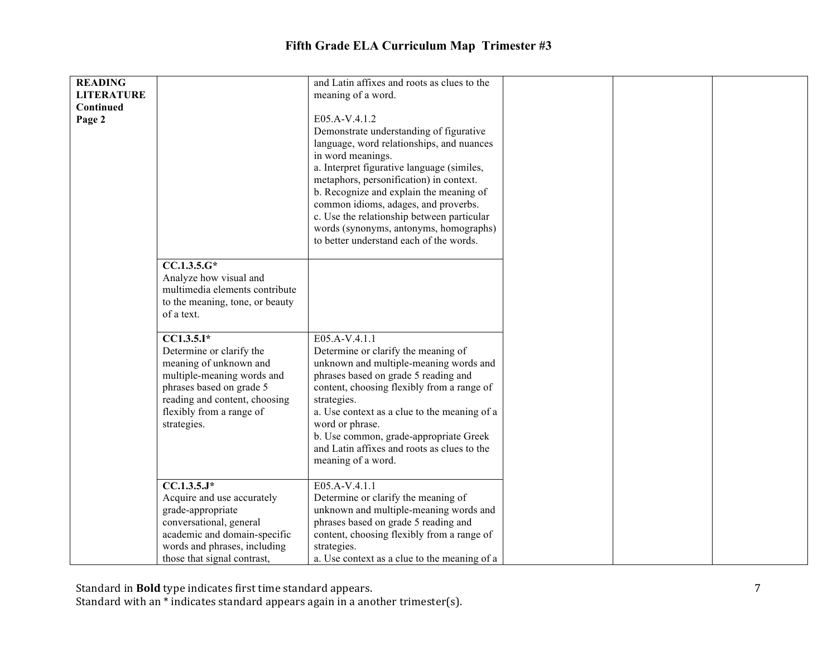| <b>READING</b><br><b>LITERATURE</b> |                                                             | and Latin affixes and roots as clues to the<br>meaning of a word.                  |
|-------------------------------------|-------------------------------------------------------------|------------------------------------------------------------------------------------|
| Continued                           |                                                             |                                                                                    |
| Page 2                              |                                                             | E05.A-V.4.1.2<br>Demonstrate understanding of figurative                           |
|                                     |                                                             | language, word relationships, and nuances                                          |
|                                     |                                                             | in word meanings.<br>a. Interpret figurative language (similes,                    |
|                                     |                                                             | metaphors, personification) in context.                                            |
|                                     |                                                             | b. Recognize and explain the meaning of                                            |
|                                     |                                                             | common idioms, adages, and proverbs.<br>c. Use the relationship between particular |
|                                     |                                                             | words (synonyms, antonyms, homographs)                                             |
|                                     |                                                             | to better understand each of the words.                                            |
|                                     | $CC.1.3.5.G*$                                               |                                                                                    |
|                                     | Analyze how visual and<br>multimedia elements contribute    |                                                                                    |
|                                     | to the meaning, tone, or beauty                             |                                                                                    |
|                                     | of a text.                                                  |                                                                                    |
|                                     | $CC1.3.5.I*$                                                | E05.A-V.4.1.1                                                                      |
|                                     | Determine or clarify the<br>meaning of unknown and          | Determine or clarify the meaning of<br>unknown and multiple-meaning words and      |
|                                     | multiple-meaning words and                                  | phrases based on grade 5 reading and                                               |
|                                     | phrases based on grade 5<br>reading and content, choosing   | content, choosing flexibly from a range of<br>strategies.                          |
|                                     | flexibly from a range of                                    | a. Use context as a clue to the meaning of a                                       |
|                                     | strategies.                                                 | word or phrase.<br>b. Use common, grade-appropriate Greek                          |
|                                     |                                                             | and Latin affixes and roots as clues to the                                        |
|                                     |                                                             | meaning of a word.                                                                 |
|                                     | $CC.1.3.5J*$                                                | E05.A-V.4.1.1                                                                      |
|                                     | Acquire and use accurately                                  | Determine or clarify the meaning of                                                |
|                                     | grade-appropriate<br>conversational, general                | unknown and multiple-meaning words and<br>phrases based on grade 5 reading and     |
|                                     | academic and domain-specific                                | content, choosing flexibly from a range of                                         |
|                                     | words and phrases, including<br>those that signal contrast, | strategies.<br>a. Use context as a clue to the meaning of a                        |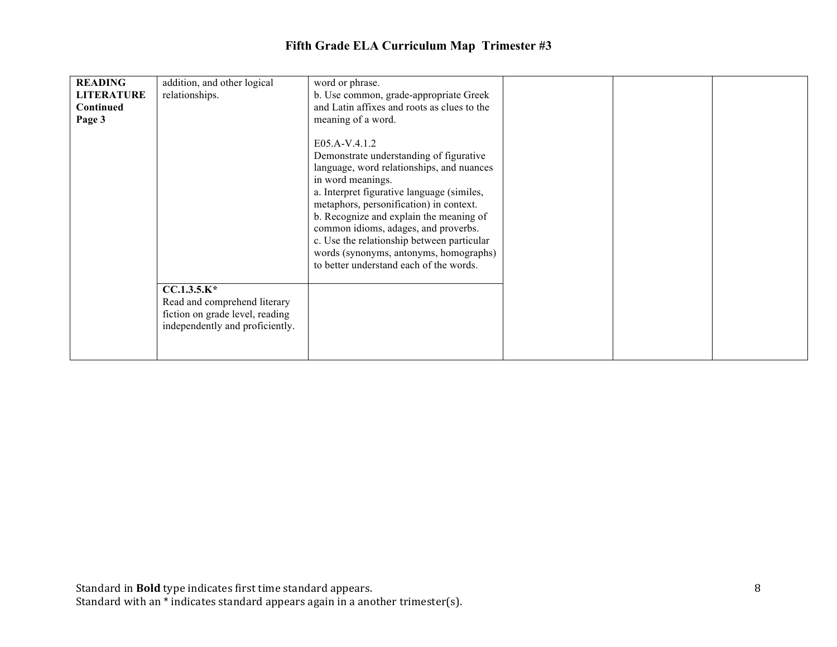| <b>READING</b><br><b>LITERATURE</b><br>Continued<br>Page 3 | addition, and other logical<br>relationships.                                                                       | word or phrase.<br>b. Use common, grade-appropriate Greek<br>and Latin affixes and roots as clues to the<br>meaning of a word.                                                                                                                                                                                                                                                                                                            |  |  |
|------------------------------------------------------------|---------------------------------------------------------------------------------------------------------------------|-------------------------------------------------------------------------------------------------------------------------------------------------------------------------------------------------------------------------------------------------------------------------------------------------------------------------------------------------------------------------------------------------------------------------------------------|--|--|
|                                                            | $CC.1.3.5.K*$<br>Read and comprehend literary<br>fiction on grade level, reading<br>independently and proficiently. | E05.A-V.4.1.2<br>Demonstrate understanding of figurative<br>language, word relationships, and nuances<br>in word meanings.<br>a. Interpret figurative language (similes,<br>metaphors, personification) in context.<br>b. Recognize and explain the meaning of<br>common idioms, adages, and proverbs.<br>c. Use the relationship between particular<br>words (synonyms, antonyms, homographs)<br>to better understand each of the words. |  |  |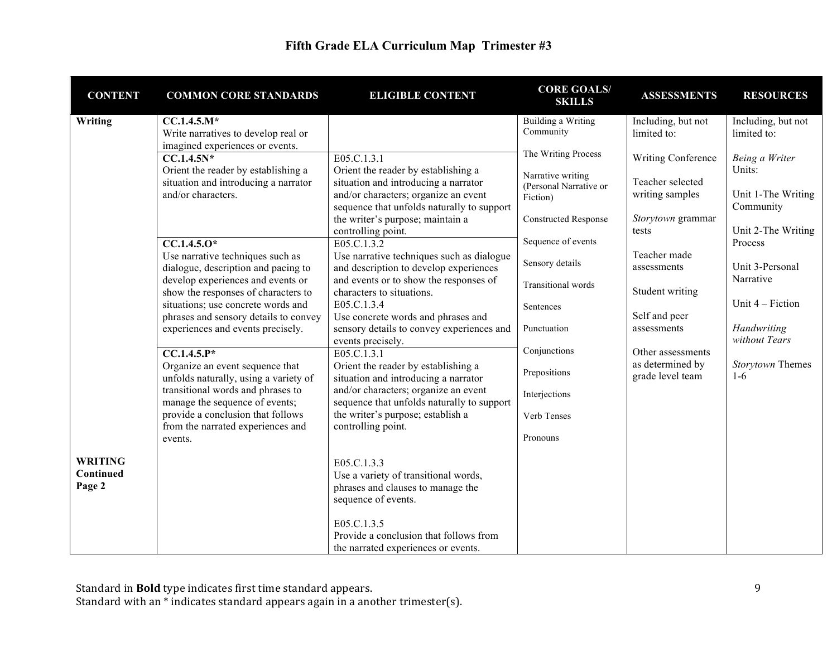| <b>CONTENT</b>                        | <b>COMMON CORE STANDARDS</b>                                                                                    | <b>ELIGIBLE CONTENT</b>                                                                                                                                           | <b>CORE GOALS/</b><br><b>SKILLS</b>                     | <b>ASSESSMENTS</b>                                        | <b>RESOURCES</b>                  |
|---------------------------------------|-----------------------------------------------------------------------------------------------------------------|-------------------------------------------------------------------------------------------------------------------------------------------------------------------|---------------------------------------------------------|-----------------------------------------------------------|-----------------------------------|
| Writing                               | $CC.1.4.5.M*$<br>Write narratives to develop real or<br>imagined experiences or events.                         |                                                                                                                                                                   | <b>Building a Writing</b><br>Community                  | Including, but not<br>limited to:                         | Including, but not<br>limited to: |
|                                       | $CC.1.4.5N*$<br>Orient the reader by establishing a                                                             | E05.C.1.3.1                                                                                                                                                       | The Writing Process                                     | Writing Conference                                        | Being a Writer<br>Units:          |
|                                       | situation and introducing a narrator<br>and/or characters.                                                      | Orient the reader by establishing a<br>situation and introducing a narrator<br>and/or characters; organize an event<br>sequence that unfolds naturally to support | Narrative writing<br>(Personal Narrative or<br>Fiction) | Teacher selected<br>writing samples                       | Unit 1-The Writing<br>Community   |
|                                       |                                                                                                                 | the writer's purpose; maintain a<br>controlling point.                                                                                                            | <b>Constructed Response</b>                             | Storytown grammar<br>tests                                | Unit 2-The Writing                |
|                                       | $CC.1.4.5.0*$<br>Use narrative techniques such as                                                               | E05.C.1.3.2<br>Use narrative techniques such as dialogue                                                                                                          | Sequence of events<br>Sensory details                   | Teacher made                                              | Process<br>Unit 3-Personal        |
|                                       | dialogue, description and pacing to<br>develop experiences and events or<br>show the responses of characters to | and description to develop experiences<br>and events or to show the responses of<br>characters to situations.                                                     | Transitional words                                      | assessments<br>Student writing                            | Narrative                         |
|                                       | situations; use concrete words and<br>phrases and sensory details to convey                                     | E05.C.1.3.4<br>Use concrete words and phrases and                                                                                                                 | Sentences                                               | Self and peer                                             | Unit $4$ – Fiction                |
|                                       | experiences and events precisely.                                                                               | sensory details to convey experiences and<br>events precisely.                                                                                                    | Punctuation                                             | assessments                                               | Handwriting<br>without Tears      |
|                                       | $\overline{CC.1.4.5.P^*}$<br>Organize an event sequence that<br>unfolds naturally, using a variety of           | E05.C.1.3.1<br>Orient the reader by establishing a<br>situation and introducing a narrator                                                                        | Conjunctions<br>Prepositions                            | Other assessments<br>as determined by<br>grade level team | Storytown Themes<br>$1-6$         |
|                                       | transitional words and phrases to<br>manage the sequence of events;                                             | and/or characters; organize an event<br>sequence that unfolds naturally to support                                                                                | Interjections                                           |                                                           |                                   |
|                                       | provide a conclusion that follows<br>from the narrated experiences and                                          | the writer's purpose; establish a<br>controlling point.                                                                                                           | Verb Tenses                                             |                                                           |                                   |
|                                       | events.                                                                                                         |                                                                                                                                                                   | Pronouns                                                |                                                           |                                   |
| <b>WRITING</b><br>Continued<br>Page 2 |                                                                                                                 | E05.C.1.3.3<br>Use a variety of transitional words,<br>phrases and clauses to manage the<br>sequence of events.                                                   |                                                         |                                                           |                                   |
|                                       |                                                                                                                 | E05.C.1.3.5<br>Provide a conclusion that follows from<br>the narrated experiences or events.                                                                      |                                                         |                                                           |                                   |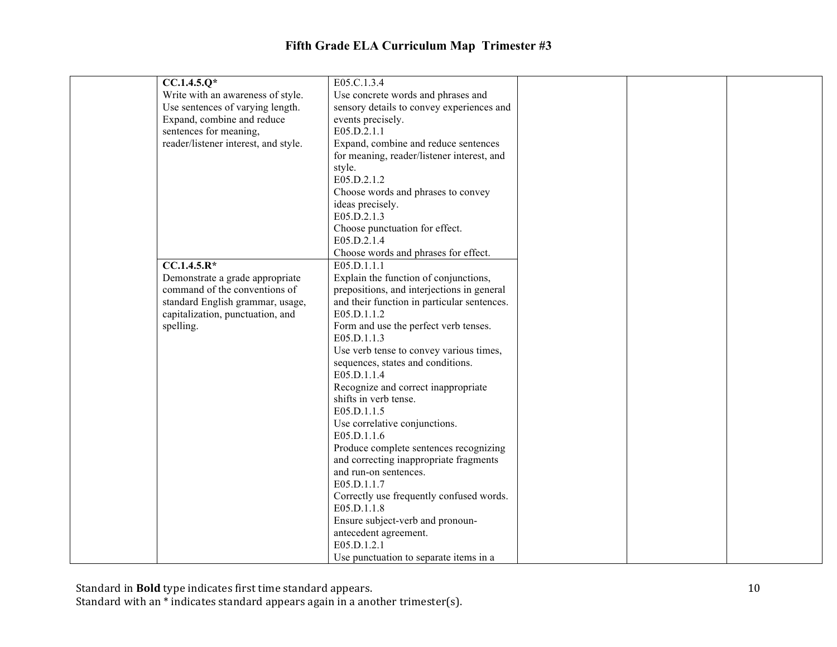| $CC.1.4.5.Q*$                        | E05.C.1.3.4                                 |  |  |
|--------------------------------------|---------------------------------------------|--|--|
| Write with an awareness of style.    | Use concrete words and phrases and          |  |  |
| Use sentences of varying length.     | sensory details to convey experiences and   |  |  |
| Expand, combine and reduce           | events precisely.                           |  |  |
| sentences for meaning,               | E05.D.2.1.1                                 |  |  |
| reader/listener interest, and style. | Expand, combine and reduce sentences        |  |  |
|                                      | for meaning, reader/listener interest, and  |  |  |
|                                      | style.                                      |  |  |
|                                      | E05.D.2.1.2                                 |  |  |
|                                      | Choose words and phrases to convey          |  |  |
|                                      | ideas precisely.                            |  |  |
|                                      | E05.D.2.1.3                                 |  |  |
|                                      | Choose punctuation for effect.              |  |  |
|                                      | E05.D.2.1.4                                 |  |  |
|                                      | Choose words and phrases for effect.        |  |  |
| $CC.1.4.5.R*$                        | E05.D.1.1.1                                 |  |  |
| Demonstrate a grade appropriate      | Explain the function of conjunctions,       |  |  |
| command of the conventions of        | prepositions, and interjections in general  |  |  |
| standard English grammar, usage,     | and their function in particular sentences. |  |  |
| capitalization, punctuation, and     | E05.D.1.1.2                                 |  |  |
| spelling.                            | Form and use the perfect verb tenses.       |  |  |
|                                      | E05.D.1.1.3                                 |  |  |
|                                      | Use verb tense to convey various times,     |  |  |
|                                      | sequences, states and conditions.           |  |  |
|                                      | E05.D.1.1.4                                 |  |  |
|                                      | Recognize and correct inappropriate         |  |  |
|                                      | shifts in verb tense.                       |  |  |
|                                      | E05.D.1.1.5                                 |  |  |
|                                      | Use correlative conjunctions.               |  |  |
|                                      | E05.D.1.1.6                                 |  |  |
|                                      | Produce complete sentences recognizing      |  |  |
|                                      | and correcting inappropriate fragments      |  |  |
|                                      | and run-on sentences.                       |  |  |
|                                      | E05.D.1.1.7                                 |  |  |
|                                      | Correctly use frequently confused words.    |  |  |
|                                      | E05.D.1.1.8                                 |  |  |
|                                      | Ensure subject-verb and pronoun-            |  |  |
|                                      | antecedent agreement.                       |  |  |
|                                      | E05.D.1.2.1                                 |  |  |
|                                      | Use punctuation to separate items in a      |  |  |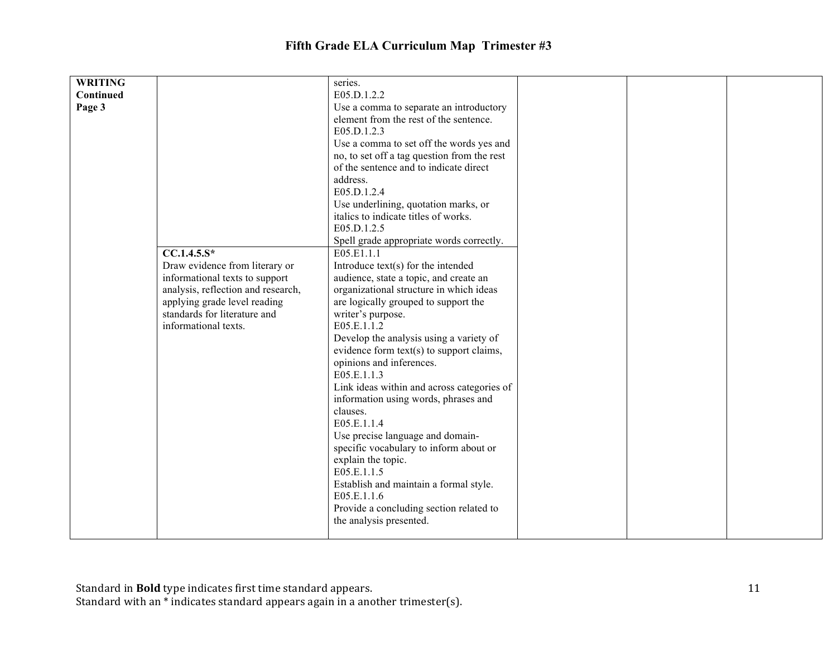| <b>WRITING</b>                                                                                     |                                | series.                                                |  |  |
|----------------------------------------------------------------------------------------------------|--------------------------------|--------------------------------------------------------|--|--|
| Continued                                                                                          |                                | E05.D.1.2.2                                            |  |  |
|                                                                                                    |                                |                                                        |  |  |
| Page 3                                                                                             |                                | Use a comma to separate an introductory                |  |  |
|                                                                                                    |                                | element from the rest of the sentence.                 |  |  |
|                                                                                                    |                                | E05.D.1.2.3                                            |  |  |
|                                                                                                    |                                | Use a comma to set off the words yes and               |  |  |
|                                                                                                    |                                | no, to set off a tag question from the rest            |  |  |
|                                                                                                    |                                | of the sentence and to indicate direct                 |  |  |
|                                                                                                    |                                | address.                                               |  |  |
|                                                                                                    |                                | E05.D.1.2.4                                            |  |  |
|                                                                                                    |                                | Use underlining, quotation marks, or                   |  |  |
|                                                                                                    |                                | italics to indicate titles of works.                   |  |  |
|                                                                                                    |                                | E05.D.1.2.5                                            |  |  |
|                                                                                                    |                                |                                                        |  |  |
|                                                                                                    | $CC.1.4.5.S*$                  | Spell grade appropriate words correctly.<br>E05.E1.1.1 |  |  |
|                                                                                                    |                                |                                                        |  |  |
|                                                                                                    | Draw evidence from literary or | Introduce text(s) for the intended                     |  |  |
|                                                                                                    | informational texts to support | audience, state a topic, and create an                 |  |  |
| analysis, reflection and research,<br>applying grade level reading<br>standards for literature and |                                | organizational structure in which ideas                |  |  |
|                                                                                                    |                                | are logically grouped to support the                   |  |  |
|                                                                                                    |                                | writer's purpose.                                      |  |  |
|                                                                                                    | informational texts.           | E05.E.1.1.2                                            |  |  |
|                                                                                                    |                                | Develop the analysis using a variety of                |  |  |
|                                                                                                    |                                | evidence form text(s) to support claims,               |  |  |
|                                                                                                    |                                | opinions and inferences.                               |  |  |
|                                                                                                    |                                | E05.E.1.1.3                                            |  |  |
|                                                                                                    |                                | Link ideas within and across categories of             |  |  |
|                                                                                                    |                                |                                                        |  |  |
|                                                                                                    |                                | information using words, phrases and                   |  |  |
|                                                                                                    |                                | clauses.                                               |  |  |
|                                                                                                    |                                | E05.E.1.1.4                                            |  |  |
|                                                                                                    |                                | Use precise language and domain-                       |  |  |
|                                                                                                    |                                | specific vocabulary to inform about or                 |  |  |
|                                                                                                    |                                | explain the topic.                                     |  |  |
|                                                                                                    |                                | E05.E.1.1.5                                            |  |  |
|                                                                                                    |                                | Establish and maintain a formal style.                 |  |  |
|                                                                                                    |                                | E05.E.1.1.6                                            |  |  |
|                                                                                                    |                                | Provide a concluding section related to                |  |  |
|                                                                                                    |                                | the analysis presented.                                |  |  |
|                                                                                                    |                                |                                                        |  |  |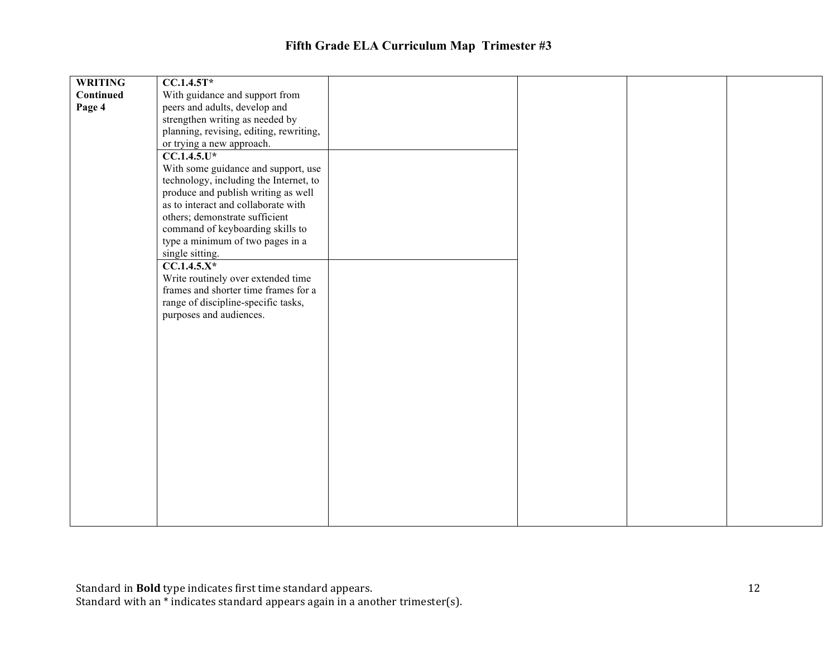| <b>WRITING</b> | $CC.1.4.5T*$                            |  |  |
|----------------|-----------------------------------------|--|--|
| Continued      | With guidance and support from          |  |  |
| Page 4         | peers and adults, develop and           |  |  |
|                | strengthen writing as needed by         |  |  |
|                | planning, revising, editing, rewriting, |  |  |
|                | or trying a new approach.               |  |  |
|                | $CC.1.4.5.$ U*                          |  |  |
|                | With some guidance and support, use     |  |  |
|                | technology, including the Internet, to  |  |  |
|                | produce and publish writing as well     |  |  |
|                | as to interact and collaborate with     |  |  |
|                | others; demonstrate sufficient          |  |  |
|                | command of keyboarding skills to        |  |  |
|                | type a minimum of two pages in a        |  |  |
|                | single sitting.                         |  |  |
|                | $CC.1.4.5.X*$                           |  |  |
|                | Write routinely over extended time      |  |  |
|                | frames and shorter time frames for a    |  |  |
|                | range of discipline-specific tasks,     |  |  |
|                | purposes and audiences.                 |  |  |
|                |                                         |  |  |
|                |                                         |  |  |
|                |                                         |  |  |
|                |                                         |  |  |
|                |                                         |  |  |
|                |                                         |  |  |
|                |                                         |  |  |
|                |                                         |  |  |
|                |                                         |  |  |
|                |                                         |  |  |
|                |                                         |  |  |
|                |                                         |  |  |
|                |                                         |  |  |
|                |                                         |  |  |
|                |                                         |  |  |
|                |                                         |  |  |